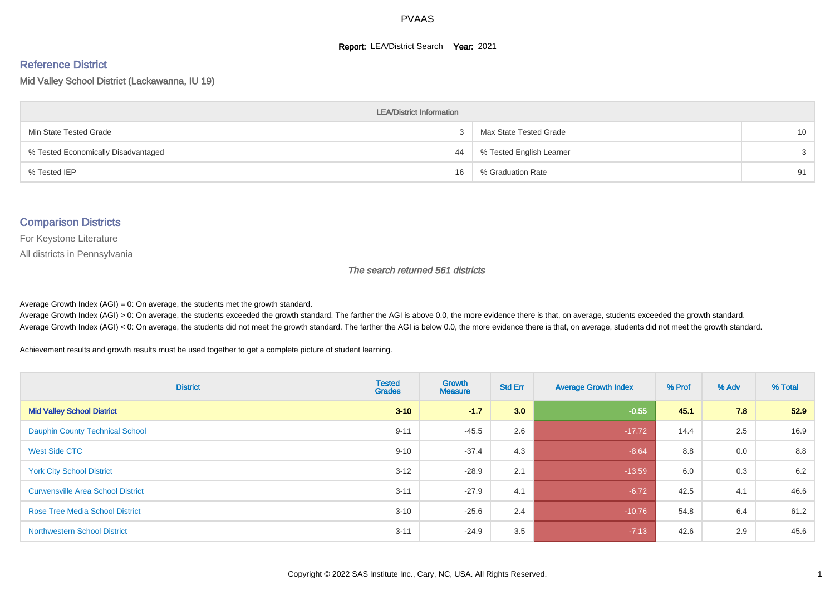#### **Report: LEA/District Search Year: 2021**

# Reference District

Mid Valley School District (Lackawanna, IU 19)

| <b>LEA/District Information</b>     |    |                          |                 |  |  |  |  |  |  |  |
|-------------------------------------|----|--------------------------|-----------------|--|--|--|--|--|--|--|
| Min State Tested Grade              |    | Max State Tested Grade   | 10 <sup>1</sup> |  |  |  |  |  |  |  |
| % Tested Economically Disadvantaged | 44 | % Tested English Learner | $\mathcal{S}$   |  |  |  |  |  |  |  |
| % Tested IEP                        | 16 | % Graduation Rate        | 91              |  |  |  |  |  |  |  |

#### Comparison Districts

For Keystone Literature

All districts in Pennsylvania

The search returned 561 districts

Average Growth Index  $(AGI) = 0$ : On average, the students met the growth standard.

Average Growth Index (AGI) > 0: On average, the students exceeded the growth standard. The farther the AGI is above 0.0, the more evidence there is that, on average, students exceeded the growth standard. Average Growth Index (AGI) < 0: On average, the students did not meet the growth standard. The farther the AGI is below 0.0, the more evidence there is that, on average, students did not meet the growth standard.

Achievement results and growth results must be used together to get a complete picture of student learning.

| <b>District</b>                          | <b>Tested</b><br><b>Grades</b> | <b>Growth</b><br><b>Measure</b> | <b>Std Err</b> | <b>Average Growth Index</b> | % Prof | % Adv | % Total |
|------------------------------------------|--------------------------------|---------------------------------|----------------|-----------------------------|--------|-------|---------|
| <b>Mid Valley School District</b>        | $3 - 10$                       | $-1.7$                          | 3.0            | $-0.55$                     | 45.1   | 7.8   | 52.9    |
| <b>Dauphin County Technical School</b>   | $9 - 11$                       | $-45.5$                         | 2.6            | $-17.72$                    | 14.4   | 2.5   | 16.9    |
| <b>West Side CTC</b>                     | $9 - 10$                       | $-37.4$                         | 4.3            | $-8.64$                     | 8.8    | 0.0   | 8.8     |
| <b>York City School District</b>         | $3 - 12$                       | $-28.9$                         | 2.1            | $-13.59$                    | 6.0    | 0.3   | 6.2     |
| <b>Curwensville Area School District</b> | $3 - 11$                       | $-27.9$                         | 4.1            | $-6.72$                     | 42.5   | 4.1   | 46.6    |
| <b>Rose Tree Media School District</b>   | $3 - 10$                       | $-25.6$                         | 2.4            | $-10.76$                    | 54.8   | 6.4   | 61.2    |
| <b>Northwestern School District</b>      | $3 - 11$                       | $-24.9$                         | 3.5            | $-7.13$                     | 42.6   | 2.9   | 45.6    |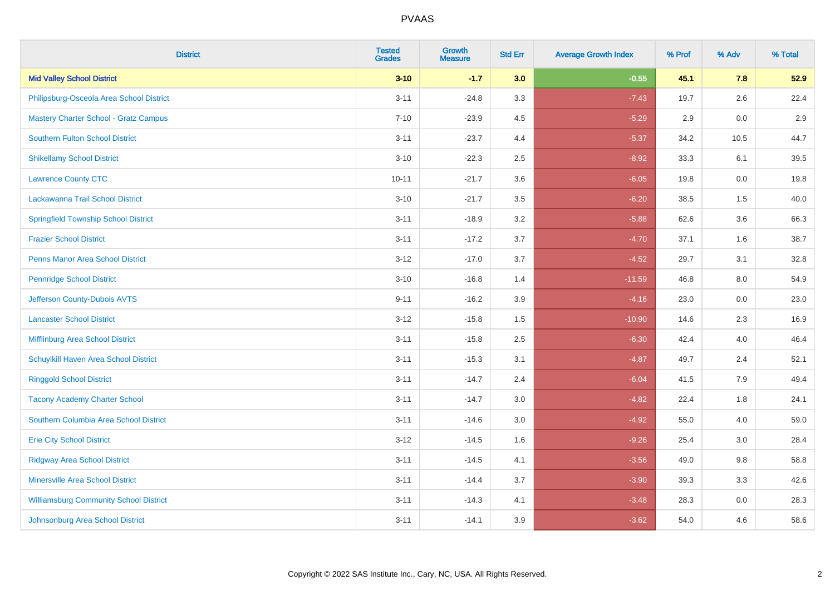| <b>District</b>                               | <b>Tested</b><br><b>Grades</b> | <b>Growth</b><br><b>Measure</b> | <b>Std Err</b> | <b>Average Growth Index</b> | % Prof | % Adv | % Total |
|-----------------------------------------------|--------------------------------|---------------------------------|----------------|-----------------------------|--------|-------|---------|
| <b>Mid Valley School District</b>             | $3 - 10$                       | $-1.7$                          | 3.0            | $-0.55$                     | 45.1   | 7.8   | 52.9    |
| Philipsburg-Osceola Area School District      | $3 - 11$                       | $-24.8$                         | 3.3            | $-7.43$                     | 19.7   | 2.6   | 22.4    |
| <b>Mastery Charter School - Gratz Campus</b>  | $7 - 10$                       | $-23.9$                         | 4.5            | $-5.29$                     | 2.9    | 0.0   | 2.9     |
| <b>Southern Fulton School District</b>        | $3 - 11$                       | $-23.7$                         | 4.4            | $-5.37$                     | 34.2   | 10.5  | 44.7    |
| <b>Shikellamy School District</b>             | $3 - 10$                       | $-22.3$                         | 2.5            | $-8.92$                     | 33.3   | 6.1   | 39.5    |
| <b>Lawrence County CTC</b>                    | $10 - 11$                      | $-21.7$                         | 3.6            | $-6.05$                     | 19.8   | 0.0   | 19.8    |
| Lackawanna Trail School District              | $3 - 10$                       | $-21.7$                         | 3.5            | $-6.20$                     | 38.5   | 1.5   | 40.0    |
| <b>Springfield Township School District</b>   | $3 - 11$                       | $-18.9$                         | 3.2            | $-5.88$                     | 62.6   | 3.6   | 66.3    |
| <b>Frazier School District</b>                | $3 - 11$                       | $-17.2$                         | 3.7            | $-4.70$                     | 37.1   | 1.6   | 38.7    |
| <b>Penns Manor Area School District</b>       | $3 - 12$                       | $-17.0$                         | 3.7            | $-4.52$                     | 29.7   | 3.1   | 32.8    |
| <b>Pennridge School District</b>              | $3 - 10$                       | $-16.8$                         | 1.4            | $-11.59$                    | 46.8   | 8.0   | 54.9    |
| Jefferson County-Dubois AVTS                  | $9 - 11$                       | $-16.2$                         | 3.9            | $-4.16$                     | 23.0   | 0.0   | 23.0    |
| <b>Lancaster School District</b>              | $3 - 12$                       | $-15.8$                         | $1.5\,$        | $-10.90$                    | 14.6   | 2.3   | 16.9    |
| Mifflinburg Area School District              | $3 - 11$                       | $-15.8$                         | 2.5            | $-6.30$                     | 42.4   | 4.0   | 46.4    |
| Schuylkill Haven Area School District         | $3 - 11$                       | $-15.3$                         | 3.1            | $-4.87$                     | 49.7   | 2.4   | 52.1    |
| <b>Ringgold School District</b>               | $3 - 11$                       | $-14.7$                         | 2.4            | $-6.04$                     | 41.5   | 7.9   | 49.4    |
| <b>Tacony Academy Charter School</b>          | $3 - 11$                       | $-14.7$                         | 3.0            | $-4.82$                     | 22.4   | 1.8   | 24.1    |
| Southern Columbia Area School District        | $3 - 11$                       | $-14.6$                         | 3.0            | $-4.92$                     | 55.0   | 4.0   | 59.0    |
| <b>Erie City School District</b>              | $3 - 12$                       | $-14.5$                         | 1.6            | $-9.26$                     | 25.4   | 3.0   | 28.4    |
| <b>Ridgway Area School District</b>           | $3 - 11$                       | $-14.5$                         | 4.1            | $-3.56$                     | 49.0   | 9.8   | 58.8    |
| <b>Minersville Area School District</b>       | $3 - 11$                       | $-14.4$                         | 3.7            | $-3.90$                     | 39.3   | 3.3   | 42.6    |
| <b>Williamsburg Community School District</b> | $3 - 11$                       | $-14.3$                         | 4.1            | $-3.48$                     | 28.3   | 0.0   | 28.3    |
| Johnsonburg Area School District              | $3 - 11$                       | $-14.1$                         | 3.9            | $-3.62$                     | 54.0   | 4.6   | 58.6    |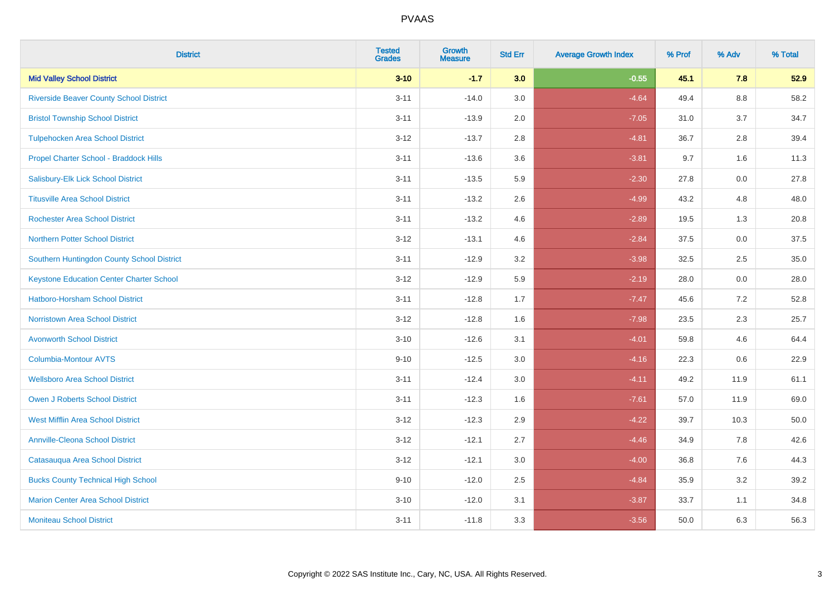| <b>District</b>                                 | <b>Tested</b><br><b>Grades</b> | <b>Growth</b><br><b>Measure</b> | <b>Std Err</b> | <b>Average Growth Index</b> | % Prof | % Adv   | % Total |
|-------------------------------------------------|--------------------------------|---------------------------------|----------------|-----------------------------|--------|---------|---------|
| <b>Mid Valley School District</b>               | $3 - 10$                       | $-1.7$                          | 3.0            | $-0.55$                     | 45.1   | 7.8     | 52.9    |
| <b>Riverside Beaver County School District</b>  | $3 - 11$                       | $-14.0$                         | 3.0            | $-4.64$                     | 49.4   | $8.8\,$ | 58.2    |
| <b>Bristol Township School District</b>         | $3 - 11$                       | $-13.9$                         | 2.0            | $-7.05$                     | 31.0   | 3.7     | 34.7    |
| <b>Tulpehocken Area School District</b>         | $3 - 12$                       | $-13.7$                         | 2.8            | $-4.81$                     | 36.7   | 2.8     | 39.4    |
| Propel Charter School - Braddock Hills          | $3 - 11$                       | $-13.6$                         | 3.6            | $-3.81$                     | 9.7    | 1.6     | 11.3    |
| Salisbury-Elk Lick School District              | $3 - 11$                       | $-13.5$                         | 5.9            | $-2.30$                     | 27.8   | 0.0     | 27.8    |
| <b>Titusville Area School District</b>          | $3 - 11$                       | $-13.2$                         | 2.6            | $-4.99$                     | 43.2   | 4.8     | 48.0    |
| <b>Rochester Area School District</b>           | $3 - 11$                       | $-13.2$                         | 4.6            | $-2.89$                     | 19.5   | 1.3     | 20.8    |
| <b>Northern Potter School District</b>          | $3 - 12$                       | $-13.1$                         | 4.6            | $-2.84$                     | 37.5   | 0.0     | 37.5    |
| Southern Huntingdon County School District      | $3 - 11$                       | $-12.9$                         | 3.2            | $-3.98$                     | 32.5   | $2.5\,$ | 35.0    |
| <b>Keystone Education Center Charter School</b> | $3 - 12$                       | $-12.9$                         | 5.9            | $-2.19$                     | 28.0   | 0.0     | 28.0    |
| <b>Hatboro-Horsham School District</b>          | $3 - 11$                       | $-12.8$                         | 1.7            | $-7.47$                     | 45.6   | 7.2     | 52.8    |
| <b>Norristown Area School District</b>          | $3 - 12$                       | $-12.8$                         | 1.6            | $-7.98$                     | 23.5   | 2.3     | 25.7    |
| <b>Avonworth School District</b>                | $3 - 10$                       | $-12.6$                         | 3.1            | $-4.01$                     | 59.8   | 4.6     | 64.4    |
| Columbia-Montour AVTS                           | $9 - 10$                       | $-12.5$                         | 3.0            | $-4.16$                     | 22.3   | 0.6     | 22.9    |
| <b>Wellsboro Area School District</b>           | $3 - 11$                       | $-12.4$                         | 3.0            | $-4.11$                     | 49.2   | 11.9    | 61.1    |
| <b>Owen J Roberts School District</b>           | $3 - 11$                       | $-12.3$                         | 1.6            | $-7.61$                     | 57.0   | 11.9    | 69.0    |
| <b>West Mifflin Area School District</b>        | $3 - 12$                       | $-12.3$                         | 2.9            | $-4.22$                     | 39.7   | 10.3    | 50.0    |
| <b>Annville-Cleona School District</b>          | $3 - 12$                       | $-12.1$                         | 2.7            | $-4.46$                     | 34.9   | 7.8     | 42.6    |
| Catasauqua Area School District                 | $3 - 12$                       | $-12.1$                         | 3.0            | $-4.00$                     | 36.8   | 7.6     | 44.3    |
| <b>Bucks County Technical High School</b>       | $9 - 10$                       | $-12.0$                         | 2.5            | $-4.84$                     | 35.9   | 3.2     | 39.2    |
| <b>Marion Center Area School District</b>       | $3 - 10$                       | $-12.0$                         | 3.1            | $-3.87$                     | 33.7   | 1.1     | 34.8    |
| <b>Moniteau School District</b>                 | $3 - 11$                       | $-11.8$                         | 3.3            | $-3.56$                     | 50.0   | 6.3     | 56.3    |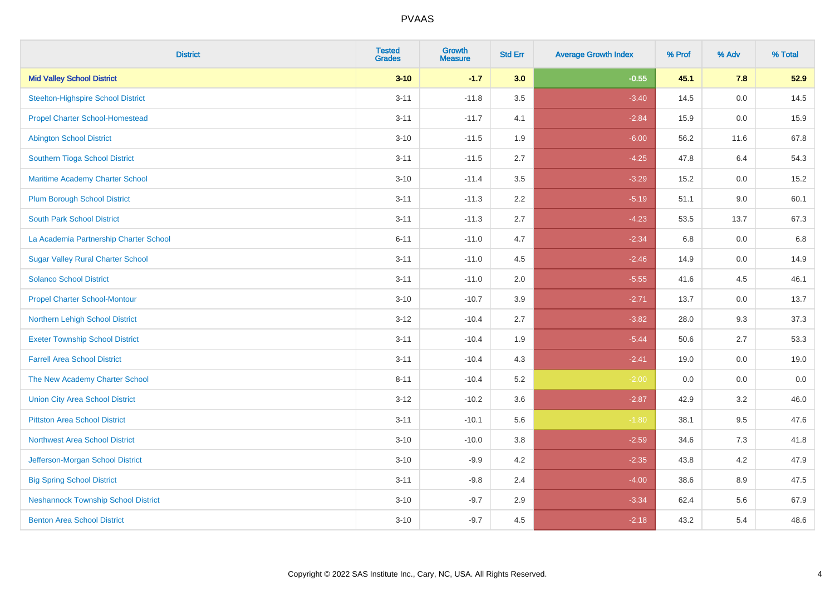| <b>District</b>                            | <b>Tested</b><br><b>Grades</b> | <b>Growth</b><br><b>Measure</b> | <b>Std Err</b> | <b>Average Growth Index</b> | % Prof | % Adv | % Total |
|--------------------------------------------|--------------------------------|---------------------------------|----------------|-----------------------------|--------|-------|---------|
| <b>Mid Valley School District</b>          | $3 - 10$                       | $-1.7$                          | 3.0            | $-0.55$                     | 45.1   | 7.8   | 52.9    |
| <b>Steelton-Highspire School District</b>  | $3 - 11$                       | $-11.8$                         | 3.5            | $-3.40$                     | 14.5   | 0.0   | 14.5    |
| <b>Propel Charter School-Homestead</b>     | $3 - 11$                       | $-11.7$                         | 4.1            | $-2.84$                     | 15.9   | 0.0   | 15.9    |
| <b>Abington School District</b>            | $3 - 10$                       | $-11.5$                         | 1.9            | $-6.00$                     | 56.2   | 11.6  | 67.8    |
| Southern Tioga School District             | $3 - 11$                       | $-11.5$                         | 2.7            | $-4.25$                     | 47.8   | 6.4   | 54.3    |
| <b>Maritime Academy Charter School</b>     | $3 - 10$                       | $-11.4$                         | 3.5            | $-3.29$                     | 15.2   | 0.0   | 15.2    |
| <b>Plum Borough School District</b>        | $3 - 11$                       | $-11.3$                         | 2.2            | $-5.19$                     | 51.1   | 9.0   | 60.1    |
| <b>South Park School District</b>          | $3 - 11$                       | $-11.3$                         | 2.7            | $-4.23$                     | 53.5   | 13.7  | 67.3    |
| La Academia Partnership Charter School     | $6 - 11$                       | $-11.0$                         | 4.7            | $-2.34$                     | 6.8    | 0.0   | 6.8     |
| <b>Sugar Valley Rural Charter School</b>   | $3 - 11$                       | $-11.0$                         | 4.5            | $-2.46$                     | 14.9   | 0.0   | 14.9    |
| <b>Solanco School District</b>             | $3 - 11$                       | $-11.0$                         | 2.0            | $-5.55$                     | 41.6   | 4.5   | 46.1    |
| <b>Propel Charter School-Montour</b>       | $3 - 10$                       | $-10.7$                         | 3.9            | $-2.71$                     | 13.7   | 0.0   | 13.7    |
| Northern Lehigh School District            | $3 - 12$                       | $-10.4$                         | 2.7            | $-3.82$                     | 28.0   | 9.3   | 37.3    |
| <b>Exeter Township School District</b>     | $3 - 11$                       | $-10.4$                         | 1.9            | $-5.44$                     | 50.6   | 2.7   | 53.3    |
| <b>Farrell Area School District</b>        | $3 - 11$                       | $-10.4$                         | 4.3            | $-2.41$                     | 19.0   | 0.0   | 19.0    |
| The New Academy Charter School             | $8 - 11$                       | $-10.4$                         | 5.2            | $-2.00$                     | 0.0    | 0.0   | 0.0     |
| <b>Union City Area School District</b>     | $3 - 12$                       | $-10.2$                         | 3.6            | $-2.87$                     | 42.9   | 3.2   | 46.0    |
| <b>Pittston Area School District</b>       | $3 - 11$                       | $-10.1$                         | 5.6            | $-1.80$                     | 38.1   | 9.5   | 47.6    |
| <b>Northwest Area School District</b>      | $3 - 10$                       | $-10.0$                         | 3.8            | $-2.59$                     | 34.6   | 7.3   | 41.8    |
| Jefferson-Morgan School District           | $3 - 10$                       | $-9.9$                          | 4.2            | $-2.35$                     | 43.8   | 4.2   | 47.9    |
| <b>Big Spring School District</b>          | $3 - 11$                       | $-9.8$                          | 2.4            | $-4.00$                     | 38.6   | 8.9   | 47.5    |
| <b>Neshannock Township School District</b> | $3 - 10$                       | $-9.7$                          | 2.9            | $-3.34$                     | 62.4   | 5.6   | 67.9    |
| <b>Benton Area School District</b>         | $3 - 10$                       | $-9.7$                          | 4.5            | $-2.18$                     | 43.2   | 5.4   | 48.6    |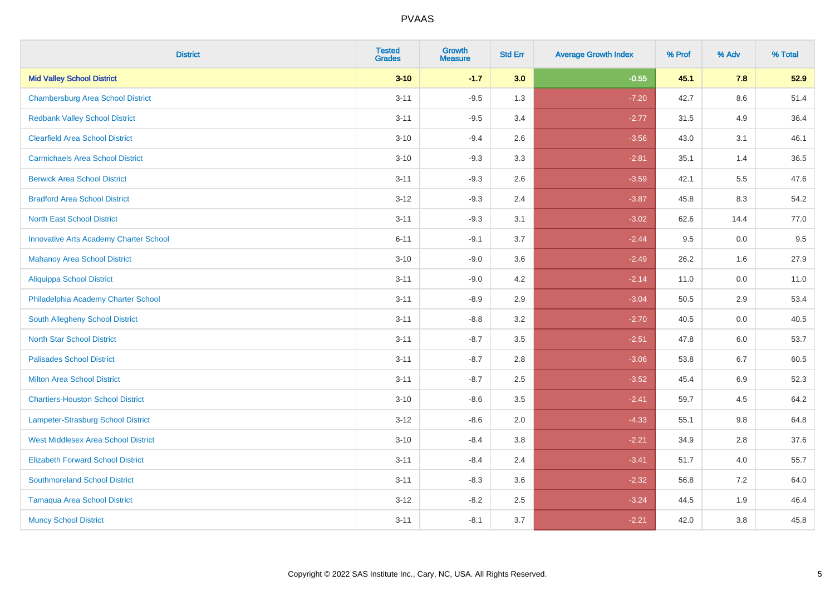| <b>District</b>                               | <b>Tested</b><br><b>Grades</b> | <b>Growth</b><br><b>Measure</b> | <b>Std Err</b> | <b>Average Growth Index</b> | % Prof | % Adv   | % Total |
|-----------------------------------------------|--------------------------------|---------------------------------|----------------|-----------------------------|--------|---------|---------|
| <b>Mid Valley School District</b>             | $3 - 10$                       | $-1.7$                          | 3.0            | $-0.55$                     | 45.1   | 7.8     | 52.9    |
| <b>Chambersburg Area School District</b>      | $3 - 11$                       | $-9.5$                          | 1.3            | $-7.20$                     | 42.7   | 8.6     | 51.4    |
| <b>Redbank Valley School District</b>         | $3 - 11$                       | $-9.5$                          | 3.4            | $-2.77$                     | 31.5   | 4.9     | 36.4    |
| <b>Clearfield Area School District</b>        | $3 - 10$                       | $-9.4$                          | 2.6            | $-3.56$                     | 43.0   | 3.1     | 46.1    |
| <b>Carmichaels Area School District</b>       | $3 - 10$                       | $-9.3$                          | 3.3            | $-2.81$                     | 35.1   | 1.4     | 36.5    |
| <b>Berwick Area School District</b>           | $3 - 11$                       | $-9.3$                          | 2.6            | $-3.59$                     | 42.1   | 5.5     | 47.6    |
| <b>Bradford Area School District</b>          | $3 - 12$                       | $-9.3$                          | 2.4            | $-3.87$                     | 45.8   | 8.3     | 54.2    |
| <b>North East School District</b>             | $3 - 11$                       | $-9.3$                          | 3.1            | $-3.02$                     | 62.6   | 14.4    | 77.0    |
| <b>Innovative Arts Academy Charter School</b> | $6 - 11$                       | $-9.1$                          | 3.7            | $-2.44$                     | 9.5    | 0.0     | 9.5     |
| <b>Mahanoy Area School District</b>           | $3 - 10$                       | $-9.0$                          | 3.6            | $-2.49$                     | 26.2   | 1.6     | 27.9    |
| <b>Aliquippa School District</b>              | $3 - 11$                       | $-9.0$                          | 4.2            | $-2.14$                     | 11.0   | 0.0     | 11.0    |
| Philadelphia Academy Charter School           | $3 - 11$                       | $-8.9$                          | 2.9            | $-3.04$                     | 50.5   | 2.9     | 53.4    |
| South Allegheny School District               | $3 - 11$                       | $-8.8$                          | 3.2            | $-2.70$                     | 40.5   | $0.0\,$ | 40.5    |
| <b>North Star School District</b>             | $3 - 11$                       | $-8.7$                          | 3.5            | $-2.51$                     | 47.8   | 6.0     | 53.7    |
| <b>Palisades School District</b>              | $3 - 11$                       | $-8.7$                          | 2.8            | $-3.06$                     | 53.8   | 6.7     | 60.5    |
| <b>Milton Area School District</b>            | $3 - 11$                       | $-8.7$                          | 2.5            | $-3.52$                     | 45.4   | $6.9\,$ | 52.3    |
| <b>Chartiers-Houston School District</b>      | $3 - 10$                       | $-8.6$                          | 3.5            | $-2.41$                     | 59.7   | 4.5     | 64.2    |
| <b>Lampeter-Strasburg School District</b>     | $3 - 12$                       | $-8.6$                          | 2.0            | $-4.33$                     | 55.1   | 9.8     | 64.8    |
| <b>West Middlesex Area School District</b>    | $3 - 10$                       | $-8.4$                          | 3.8            | $-2.21$                     | 34.9   | 2.8     | 37.6    |
| <b>Elizabeth Forward School District</b>      | $3 - 11$                       | $-8.4$                          | 2.4            | $-3.41$                     | 51.7   | 4.0     | 55.7    |
| <b>Southmoreland School District</b>          | $3 - 11$                       | $-8.3$                          | 3.6            | $-2.32$                     | 56.8   | 7.2     | 64.0    |
| <b>Tamaqua Area School District</b>           | $3 - 12$                       | $-8.2$                          | 2.5            | $-3.24$                     | 44.5   | 1.9     | 46.4    |
| <b>Muncy School District</b>                  | $3 - 11$                       | $-8.1$                          | 3.7            | $-2.21$                     | 42.0   | 3.8     | 45.8    |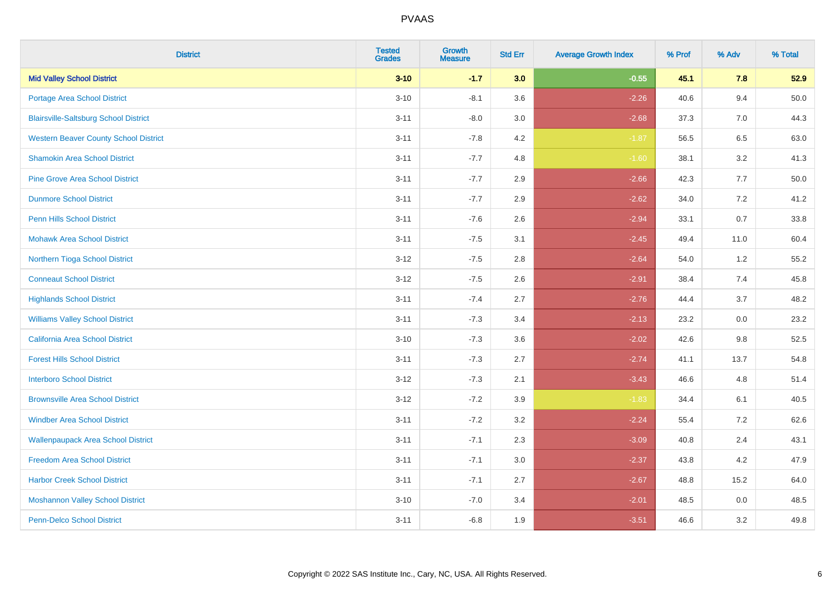| <b>District</b>                              | <b>Tested</b><br><b>Grades</b> | Growth<br><b>Measure</b> | <b>Std Err</b> | <b>Average Growth Index</b> | % Prof | % Adv   | % Total |
|----------------------------------------------|--------------------------------|--------------------------|----------------|-----------------------------|--------|---------|---------|
| <b>Mid Valley School District</b>            | $3 - 10$                       | $-1.7$                   | 3.0            | $-0.55$                     | 45.1   | 7.8     | 52.9    |
| <b>Portage Area School District</b>          | $3 - 10$                       | $-8.1$                   | 3.6            | $-2.26$                     | 40.6   | 9.4     | 50.0    |
| <b>Blairsville-Saltsburg School District</b> | $3 - 11$                       | $-8.0$                   | 3.0            | $-2.68$                     | 37.3   | 7.0     | 44.3    |
| <b>Western Beaver County School District</b> | $3 - 11$                       | $-7.8$                   | 4.2            | $-1.87$                     | 56.5   | $6.5\,$ | 63.0    |
| <b>Shamokin Area School District</b>         | $3 - 11$                       | $-7.7$                   | 4.8            | $-1.60$                     | 38.1   | 3.2     | 41.3    |
| <b>Pine Grove Area School District</b>       | $3 - 11$                       | $-7.7$                   | 2.9            | $-2.66$                     | 42.3   | 7.7     | 50.0    |
| <b>Dunmore School District</b>               | $3 - 11$                       | $-7.7$                   | 2.9            | $-2.62$                     | 34.0   | 7.2     | 41.2    |
| <b>Penn Hills School District</b>            | $3 - 11$                       | $-7.6$                   | 2.6            | $-2.94$                     | 33.1   | 0.7     | 33.8    |
| <b>Mohawk Area School District</b>           | $3 - 11$                       | $-7.5$                   | 3.1            | $-2.45$                     | 49.4   | 11.0    | 60.4    |
| Northern Tioga School District               | $3 - 12$                       | $-7.5$                   | 2.8            | $-2.64$                     | 54.0   | 1.2     | 55.2    |
| <b>Conneaut School District</b>              | $3-12$                         | $-7.5$                   | 2.6            | $-2.91$                     | 38.4   | 7.4     | 45.8    |
| <b>Highlands School District</b>             | $3 - 11$                       | $-7.4$                   | 2.7            | $-2.76$                     | 44.4   | 3.7     | 48.2    |
| <b>Williams Valley School District</b>       | $3 - 11$                       | $-7.3$                   | 3.4            | $-2.13$                     | 23.2   | 0.0     | 23.2    |
| <b>California Area School District</b>       | $3 - 10$                       | $-7.3$                   | 3.6            | $-2.02$                     | 42.6   | 9.8     | 52.5    |
| <b>Forest Hills School District</b>          | $3 - 11$                       | $-7.3$                   | 2.7            | $-2.74$                     | 41.1   | 13.7    | 54.8    |
| <b>Interboro School District</b>             | $3 - 12$                       | $-7.3$                   | 2.1            | $-3.43$                     | 46.6   | 4.8     | 51.4    |
| <b>Brownsville Area School District</b>      | $3 - 12$                       | $-7.2$                   | 3.9            | $-1.83$                     | 34.4   | 6.1     | 40.5    |
| <b>Windber Area School District</b>          | $3 - 11$                       | $-7.2$                   | 3.2            | $-2.24$                     | 55.4   | 7.2     | 62.6    |
| <b>Wallenpaupack Area School District</b>    | $3 - 11$                       | $-7.1$                   | 2.3            | $-3.09$                     | 40.8   | 2.4     | 43.1    |
| <b>Freedom Area School District</b>          | $3 - 11$                       | $-7.1$                   | 3.0            | $-2.37$                     | 43.8   | 4.2     | 47.9    |
| <b>Harbor Creek School District</b>          | $3 - 11$                       | $-7.1$                   | 2.7            | $-2.67$                     | 48.8   | 15.2    | 64.0    |
| <b>Moshannon Valley School District</b>      | $3 - 10$                       | $-7.0$                   | 3.4            | $-2.01$                     | 48.5   | 0.0     | 48.5    |
| <b>Penn-Delco School District</b>            | $3 - 11$                       | $-6.8$                   | 1.9            | $-3.51$                     | 46.6   | 3.2     | 49.8    |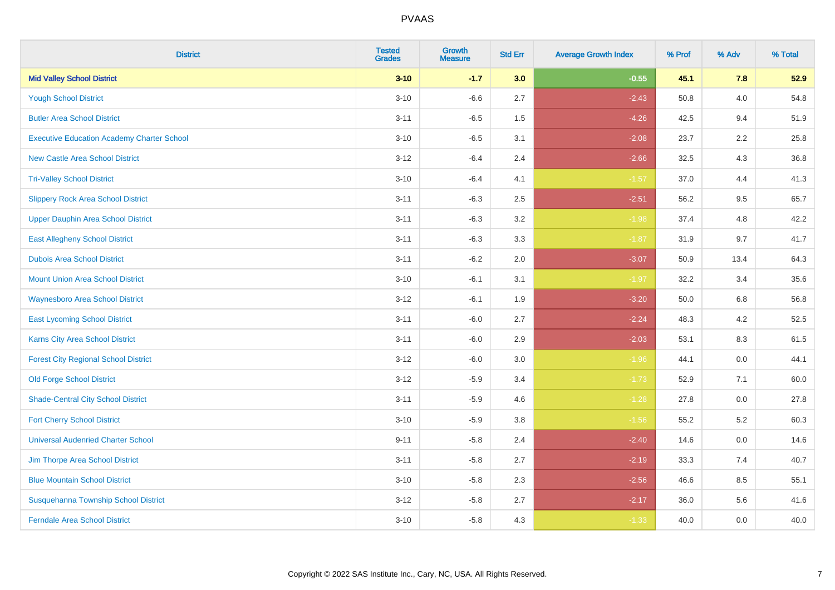| <b>District</b>                                   | <b>Tested</b><br><b>Grades</b> | <b>Growth</b><br><b>Measure</b> | <b>Std Err</b> | <b>Average Growth Index</b> | % Prof | % Adv   | % Total |
|---------------------------------------------------|--------------------------------|---------------------------------|----------------|-----------------------------|--------|---------|---------|
| <b>Mid Valley School District</b>                 | $3 - 10$                       | $-1.7$                          | 3.0            | $-0.55$                     | 45.1   | 7.8     | 52.9    |
| <b>Yough School District</b>                      | $3 - 10$                       | $-6.6$                          | 2.7            | $-2.43$                     | 50.8   | 4.0     | 54.8    |
| <b>Butler Area School District</b>                | $3 - 11$                       | $-6.5$                          | 1.5            | $-4.26$                     | 42.5   | 9.4     | 51.9    |
| <b>Executive Education Academy Charter School</b> | $3 - 10$                       | $-6.5$                          | 3.1            | $-2.08$                     | 23.7   | 2.2     | 25.8    |
| <b>New Castle Area School District</b>            | $3 - 12$                       | $-6.4$                          | 2.4            | $-2.66$                     | 32.5   | 4.3     | 36.8    |
| <b>Tri-Valley School District</b>                 | $3 - 10$                       | $-6.4$                          | 4.1            | $-1.57$                     | 37.0   | 4.4     | 41.3    |
| <b>Slippery Rock Area School District</b>         | $3 - 11$                       | $-6.3$                          | 2.5            | $-2.51$                     | 56.2   | 9.5     | 65.7    |
| <b>Upper Dauphin Area School District</b>         | $3 - 11$                       | $-6.3$                          | 3.2            | $-1.98$                     | 37.4   | 4.8     | 42.2    |
| <b>East Allegheny School District</b>             | $3 - 11$                       | $-6.3$                          | 3.3            | $-1.87$                     | 31.9   | 9.7     | 41.7    |
| <b>Dubois Area School District</b>                | $3 - 11$                       | $-6.2$                          | 2.0            | $-3.07$                     | 50.9   | 13.4    | 64.3    |
| <b>Mount Union Area School District</b>           | $3 - 10$                       | $-6.1$                          | 3.1            | $-1.97$                     | 32.2   | 3.4     | 35.6    |
| <b>Waynesboro Area School District</b>            | $3 - 12$                       | $-6.1$                          | 1.9            | $-3.20$                     | 50.0   | 6.8     | 56.8    |
| <b>East Lycoming School District</b>              | $3 - 11$                       | $-6.0$                          | 2.7            | $-2.24$                     | 48.3   | 4.2     | 52.5    |
| Karns City Area School District                   | $3 - 11$                       | $-6.0$                          | 2.9            | $-2.03$                     | 53.1   | 8.3     | 61.5    |
| <b>Forest City Regional School District</b>       | $3 - 12$                       | $-6.0$                          | $3.0\,$        | $-1.96$                     | 44.1   | $0.0\,$ | 44.1    |
| <b>Old Forge School District</b>                  | $3 - 12$                       | $-5.9$                          | 3.4            | $-1.73$                     | 52.9   | 7.1     | 60.0    |
| <b>Shade-Central City School District</b>         | $3 - 11$                       | $-5.9$                          | 4.6            | $-1.28$                     | 27.8   | 0.0     | 27.8    |
| <b>Fort Cherry School District</b>                | $3 - 10$                       | $-5.9$                          | 3.8            | $-1.56$                     | 55.2   | 5.2     | 60.3    |
| <b>Universal Audenried Charter School</b>         | $9 - 11$                       | $-5.8$                          | 2.4            | $-2.40$                     | 14.6   | $0.0\,$ | 14.6    |
| Jim Thorpe Area School District                   | $3 - 11$                       | $-5.8$                          | 2.7            | $-2.19$                     | 33.3   | 7.4     | 40.7    |
| <b>Blue Mountain School District</b>              | $3 - 10$                       | $-5.8$                          | 2.3            | $-2.56$                     | 46.6   | 8.5     | 55.1    |
| Susquehanna Township School District              | $3-12$                         | $-5.8$                          | 2.7            | $-2.17$                     | 36.0   | 5.6     | 41.6    |
| <b>Ferndale Area School District</b>              | $3 - 10$                       | $-5.8$                          | 4.3            | $-1.33$                     | 40.0   | 0.0     | 40.0    |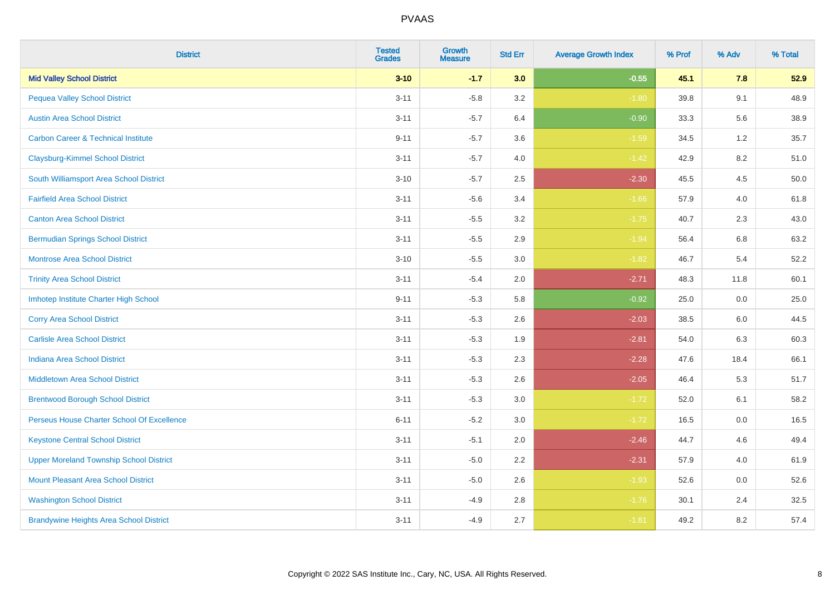| <b>District</b>                                | <b>Tested</b><br><b>Grades</b> | Growth<br><b>Measure</b> | <b>Std Err</b> | <b>Average Growth Index</b> | % Prof | % Adv   | % Total |
|------------------------------------------------|--------------------------------|--------------------------|----------------|-----------------------------|--------|---------|---------|
| <b>Mid Valley School District</b>              | $3 - 10$                       | $-1.7$                   | 3.0            | $-0.55$                     | 45.1   | 7.8     | 52.9    |
| <b>Pequea Valley School District</b>           | $3 - 11$                       | $-5.8$                   | 3.2            | $-1.80$                     | 39.8   | 9.1     | 48.9    |
| <b>Austin Area School District</b>             | $3 - 11$                       | $-5.7$                   | 6.4            | $-0.90$                     | 33.3   | 5.6     | 38.9    |
| <b>Carbon Career &amp; Technical Institute</b> | $9 - 11$                       | $-5.7$                   | 3.6            | $-1.59$                     | 34.5   | $1.2\,$ | 35.7    |
| <b>Claysburg-Kimmel School District</b>        | $3 - 11$                       | $-5.7$                   | 4.0            | $-1.42$                     | 42.9   | 8.2     | 51.0    |
| South Williamsport Area School District        | $3 - 10$                       | $-5.7$                   | 2.5            | $-2.30$                     | 45.5   | 4.5     | 50.0    |
| <b>Fairfield Area School District</b>          | $3 - 11$                       | $-5.6$                   | 3.4            | $-1.66$                     | 57.9   | 4.0     | 61.8    |
| <b>Canton Area School District</b>             | $3 - 11$                       | $-5.5$                   | 3.2            | $-1.75$                     | 40.7   | 2.3     | 43.0    |
| <b>Bermudian Springs School District</b>       | $3 - 11$                       | $-5.5$                   | 2.9            | $-1.94$                     | 56.4   | 6.8     | 63.2    |
| <b>Montrose Area School District</b>           | $3 - 10$                       | $-5.5$                   | 3.0            | $-1.82$                     | 46.7   | 5.4     | 52.2    |
| <b>Trinity Area School District</b>            | $3 - 11$                       | $-5.4$                   | 2.0            | $-2.71$                     | 48.3   | 11.8    | 60.1    |
| Imhotep Institute Charter High School          | $9 - 11$                       | $-5.3$                   | 5.8            | $-0.92$                     | 25.0   | 0.0     | 25.0    |
| <b>Corry Area School District</b>              | $3 - 11$                       | $-5.3$                   | 2.6            | $-2.03$                     | 38.5   | 6.0     | 44.5    |
| <b>Carlisle Area School District</b>           | $3 - 11$                       | $-5.3$                   | 1.9            | $-2.81$                     | 54.0   | 6.3     | 60.3    |
| <b>Indiana Area School District</b>            | $3 - 11$                       | $-5.3$                   | 2.3            | $-2.28$                     | 47.6   | 18.4    | 66.1    |
| <b>Middletown Area School District</b>         | $3 - 11$                       | $-5.3$                   | 2.6            | $-2.05$                     | 46.4   | 5.3     | 51.7    |
| <b>Brentwood Borough School District</b>       | $3 - 11$                       | $-5.3$                   | 3.0            | $-1.72$                     | 52.0   | 6.1     | 58.2    |
| Perseus House Charter School Of Excellence     | $6 - 11$                       | $-5.2$                   | 3.0            | $-1.72$                     | 16.5   | 0.0     | 16.5    |
| <b>Keystone Central School District</b>        | $3 - 11$                       | $-5.1$                   | 2.0            | $-2.46$                     | 44.7   | 4.6     | 49.4    |
| <b>Upper Moreland Township School District</b> | $3 - 11$                       | $-5.0$                   | 2.2            | $-2.31$                     | 57.9   | 4.0     | 61.9    |
| <b>Mount Pleasant Area School District</b>     | $3 - 11$                       | $-5.0$                   | 2.6            | $-1.93$                     | 52.6   | 0.0     | 52.6    |
| <b>Washington School District</b>              | $3 - 11$                       | $-4.9$                   | 2.8            | $-1.76$                     | 30.1   | 2.4     | 32.5    |
| <b>Brandywine Heights Area School District</b> | $3 - 11$                       | $-4.9$                   | 2.7            | $-1.81$                     | 49.2   | 8.2     | 57.4    |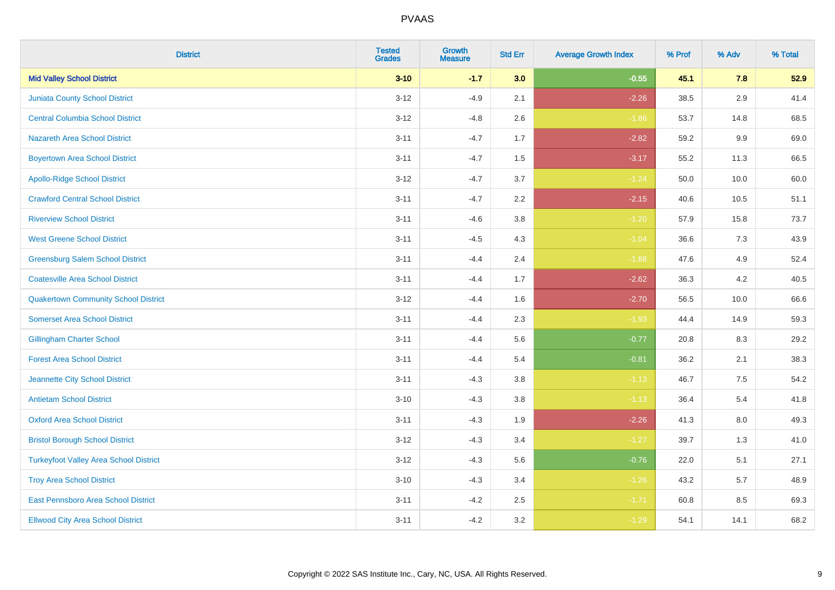| <b>District</b>                               | <b>Tested</b><br><b>Grades</b> | <b>Growth</b><br><b>Measure</b> | <b>Std Err</b> | <b>Average Growth Index</b> | % Prof | % Adv   | % Total |
|-----------------------------------------------|--------------------------------|---------------------------------|----------------|-----------------------------|--------|---------|---------|
| <b>Mid Valley School District</b>             | $3 - 10$                       | $-1.7$                          | 3.0            | $-0.55$                     | 45.1   | 7.8     | 52.9    |
| <b>Juniata County School District</b>         | $3 - 12$                       | $-4.9$                          | 2.1            | $-2.26$                     | 38.5   | $2.9\,$ | 41.4    |
| <b>Central Columbia School District</b>       | $3 - 12$                       | $-4.8$                          | 2.6            | $-1.86$                     | 53.7   | 14.8    | 68.5    |
| <b>Nazareth Area School District</b>          | $3 - 11$                       | $-4.7$                          | 1.7            | $-2.82$                     | 59.2   | $9.9\,$ | 69.0    |
| <b>Boyertown Area School District</b>         | $3 - 11$                       | $-4.7$                          | 1.5            | $-3.17$                     | 55.2   | 11.3    | 66.5    |
| <b>Apollo-Ridge School District</b>           | $3 - 12$                       | $-4.7$                          | 3.7            | $-1.24$                     | 50.0   | 10.0    | 60.0    |
| <b>Crawford Central School District</b>       | $3 - 11$                       | $-4.7$                          | 2.2            | $-2.15$                     | 40.6   | 10.5    | 51.1    |
| <b>Riverview School District</b>              | $3 - 11$                       | $-4.6$                          | 3.8            | $-1.20$                     | 57.9   | 15.8    | 73.7    |
| <b>West Greene School District</b>            | $3 - 11$                       | $-4.5$                          | 4.3            | $-1.04$                     | 36.6   | 7.3     | 43.9    |
| <b>Greensburg Salem School District</b>       | $3 - 11$                       | $-4.4$                          | 2.4            | $-1.88$                     | 47.6   | 4.9     | 52.4    |
| <b>Coatesville Area School District</b>       | $3 - 11$                       | $-4.4$                          | 1.7            | $-2.62$                     | 36.3   | 4.2     | 40.5    |
| <b>Quakertown Community School District</b>   | $3-12$                         | $-4.4$                          | 1.6            | $-2.70$                     | 56.5   | 10.0    | 66.6    |
| <b>Somerset Area School District</b>          | $3 - 11$                       | $-4.4$                          | 2.3            | $-1.93$                     | 44.4   | 14.9    | 59.3    |
| <b>Gillingham Charter School</b>              | $3 - 11$                       | $-4.4$                          | 5.6            | $-0.77$                     | 20.8   | 8.3     | 29.2    |
| <b>Forest Area School District</b>            | $3 - 11$                       | $-4.4$                          | 5.4            | $-0.81$                     | 36.2   | 2.1     | 38.3    |
| Jeannette City School District                | $3 - 11$                       | $-4.3$                          | 3.8            | $-1.13$                     | 46.7   | $7.5\,$ | 54.2    |
| <b>Antietam School District</b>               | $3 - 10$                       | $-4.3$                          | 3.8            | $-1.13$                     | 36.4   | $5.4$   | 41.8    |
| <b>Oxford Area School District</b>            | $3 - 11$                       | $-4.3$                          | 1.9            | $-2.26$                     | 41.3   | 8.0     | 49.3    |
| <b>Bristol Borough School District</b>        | $3-12$                         | $-4.3$                          | 3.4            | $-1.27$                     | 39.7   | 1.3     | 41.0    |
| <b>Turkeyfoot Valley Area School District</b> | $3 - 12$                       | $-4.3$                          | 5.6            | $-0.76$                     | 22.0   | 5.1     | 27.1    |
| <b>Troy Area School District</b>              | $3 - 10$                       | $-4.3$                          | 3.4            | $-1.26$                     | 43.2   | 5.7     | 48.9    |
| East Pennsboro Area School District           | $3 - 11$                       | $-4.2$                          | 2.5            | $-1.71$                     | 60.8   | 8.5     | 69.3    |
| <b>Ellwood City Area School District</b>      | $3 - 11$                       | $-4.2$                          | 3.2            | $-1.29$                     | 54.1   | 14.1    | 68.2    |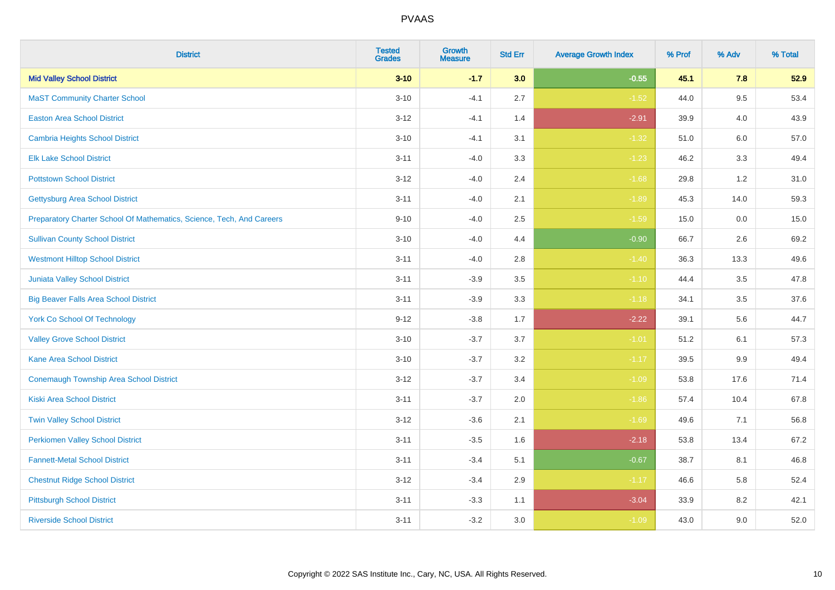| <b>District</b>                                                       | <b>Tested</b><br><b>Grades</b> | <b>Growth</b><br><b>Measure</b> | <b>Std Err</b> | <b>Average Growth Index</b> | % Prof | % Adv   | % Total |
|-----------------------------------------------------------------------|--------------------------------|---------------------------------|----------------|-----------------------------|--------|---------|---------|
| <b>Mid Valley School District</b>                                     | $3 - 10$                       | $-1.7$                          | 3.0            | $-0.55$                     | 45.1   | 7.8     | 52.9    |
| <b>MaST Community Charter School</b>                                  | $3 - 10$                       | $-4.1$                          | 2.7            | $-1.52$                     | 44.0   | 9.5     | 53.4    |
| <b>Easton Area School District</b>                                    | $3 - 12$                       | $-4.1$                          | 1.4            | $-2.91$                     | 39.9   | 4.0     | 43.9    |
| <b>Cambria Heights School District</b>                                | $3 - 10$                       | $-4.1$                          | 3.1            | $-1.32$                     | 51.0   | $6.0\,$ | 57.0    |
| <b>Elk Lake School District</b>                                       | $3 - 11$                       | $-4.0$                          | 3.3            | $-1.23$                     | 46.2   | 3.3     | 49.4    |
| <b>Pottstown School District</b>                                      | $3 - 12$                       | $-4.0$                          | 2.4            | $-1.68$                     | 29.8   | 1.2     | 31.0    |
| <b>Gettysburg Area School District</b>                                | $3 - 11$                       | $-4.0$                          | 2.1            | $-1.89$                     | 45.3   | 14.0    | 59.3    |
| Preparatory Charter School Of Mathematics, Science, Tech, And Careers | $9 - 10$                       | $-4.0$                          | 2.5            | $-1.59$                     | 15.0   | 0.0     | 15.0    |
| <b>Sullivan County School District</b>                                | $3 - 10$                       | $-4.0$                          | 4.4            | $-0.90$                     | 66.7   | 2.6     | 69.2    |
| <b>Westmont Hilltop School District</b>                               | $3 - 11$                       | $-4.0$                          | 2.8            | $-1.40$                     | 36.3   | 13.3    | 49.6    |
| Juniata Valley School District                                        | $3 - 11$                       | $-3.9$                          | 3.5            | $-1.10$                     | 44.4   | 3.5     | 47.8    |
| <b>Big Beaver Falls Area School District</b>                          | $3 - 11$                       | $-3.9$                          | 3.3            | $-1.18$                     | 34.1   | 3.5     | 37.6    |
| <b>York Co School Of Technology</b>                                   | $9 - 12$                       | $-3.8$                          | 1.7            | $-2.22$                     | 39.1   | 5.6     | 44.7    |
| <b>Valley Grove School District</b>                                   | $3 - 10$                       | $-3.7$                          | 3.7            | $-1.01$                     | 51.2   | 6.1     | 57.3    |
| <b>Kane Area School District</b>                                      | $3 - 10$                       | $-3.7$                          | 3.2            | $-1.17$                     | 39.5   | 9.9     | 49.4    |
| <b>Conemaugh Township Area School District</b>                        | $3 - 12$                       | $-3.7$                          | 3.4            | $-1.09$                     | 53.8   | 17.6    | 71.4    |
| <b>Kiski Area School District</b>                                     | $3 - 11$                       | $-3.7$                          | 2.0            | $-1.86$                     | 57.4   | 10.4    | 67.8    |
| <b>Twin Valley School District</b>                                    | $3 - 12$                       | $-3.6$                          | 2.1            | $-1.69$                     | 49.6   | 7.1     | 56.8    |
| <b>Perkiomen Valley School District</b>                               | $3 - 11$                       | $-3.5$                          | 1.6            | $-2.18$                     | 53.8   | 13.4    | 67.2    |
| <b>Fannett-Metal School District</b>                                  | $3 - 11$                       | $-3.4$                          | 5.1            | $-0.67$                     | 38.7   | 8.1     | 46.8    |
| <b>Chestnut Ridge School District</b>                                 | $3 - 12$                       | $-3.4$                          | 2.9            | $-1.17$                     | 46.6   | 5.8     | 52.4    |
| <b>Pittsburgh School District</b>                                     | $3 - 11$                       | $-3.3$                          | 1.1            | $-3.04$                     | 33.9   | 8.2     | 42.1    |
| <b>Riverside School District</b>                                      | $3 - 11$                       | $-3.2$                          | 3.0            | $-1.09$                     | 43.0   | 9.0     | 52.0    |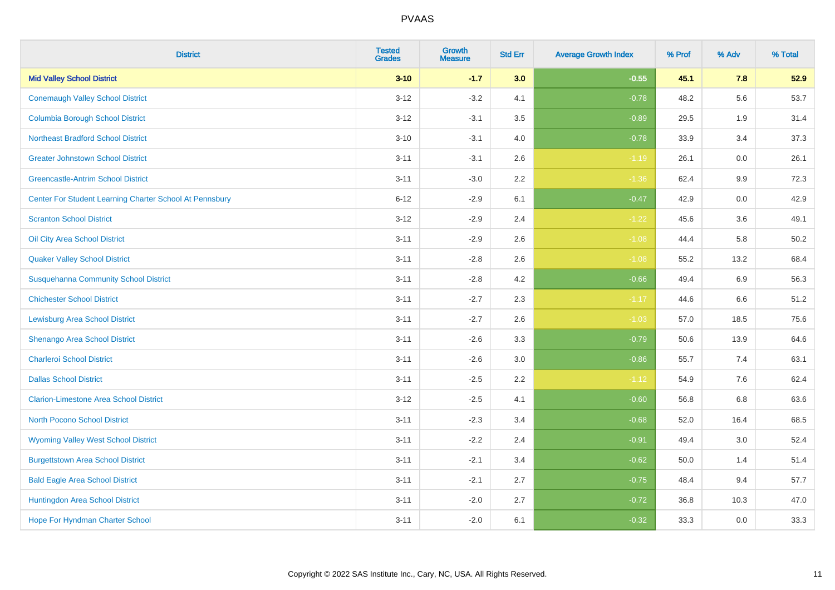| <b>District</b>                                         | <b>Tested</b><br><b>Grades</b> | <b>Growth</b><br><b>Measure</b> | <b>Std Err</b> | <b>Average Growth Index</b> | % Prof | % Adv | % Total |
|---------------------------------------------------------|--------------------------------|---------------------------------|----------------|-----------------------------|--------|-------|---------|
| <b>Mid Valley School District</b>                       | $3 - 10$                       | $-1.7$                          | 3.0            | $-0.55$                     | 45.1   | 7.8   | 52.9    |
| <b>Conemaugh Valley School District</b>                 | $3 - 12$                       | $-3.2$                          | 4.1            | $-0.78$                     | 48.2   | 5.6   | 53.7    |
| <b>Columbia Borough School District</b>                 | $3 - 12$                       | $-3.1$                          | 3.5            | $-0.89$                     | 29.5   | 1.9   | 31.4    |
| <b>Northeast Bradford School District</b>               | $3 - 10$                       | $-3.1$                          | 4.0            | $-0.78$                     | 33.9   | 3.4   | 37.3    |
| <b>Greater Johnstown School District</b>                | $3 - 11$                       | $-3.1$                          | 2.6            | $-1.19$                     | 26.1   | 0.0   | 26.1    |
| <b>Greencastle-Antrim School District</b>               | $3 - 11$                       | $-3.0$                          | 2.2            | $-1.36$                     | 62.4   | 9.9   | 72.3    |
| Center For Student Learning Charter School At Pennsbury | $6 - 12$                       | $-2.9$                          | 6.1            | $-0.47$                     | 42.9   | 0.0   | 42.9    |
| <b>Scranton School District</b>                         | $3 - 12$                       | $-2.9$                          | 2.4            | $-1.22$                     | 45.6   | 3.6   | 49.1    |
| Oil City Area School District                           | $3 - 11$                       | $-2.9$                          | 2.6            | $-1.08$                     | 44.4   | 5.8   | 50.2    |
| <b>Quaker Valley School District</b>                    | $3 - 11$                       | $-2.8$                          | 2.6            | $-1.08$                     | 55.2   | 13.2  | 68.4    |
| <b>Susquehanna Community School District</b>            | $3 - 11$                       | $-2.8$                          | 4.2            | $-0.66$                     | 49.4   | 6.9   | 56.3    |
| <b>Chichester School District</b>                       | $3 - 11$                       | $-2.7$                          | 2.3            | $-1.17$                     | 44.6   | 6.6   | 51.2    |
| <b>Lewisburg Area School District</b>                   | $3 - 11$                       | $-2.7$                          | 2.6            | $-1.03$                     | 57.0   | 18.5  | 75.6    |
| Shenango Area School District                           | $3 - 11$                       | $-2.6$                          | 3.3            | $-0.79$                     | 50.6   | 13.9  | 64.6    |
| <b>Charleroi School District</b>                        | $3 - 11$                       | $-2.6$                          | 3.0            | $-0.86$                     | 55.7   | 7.4   | 63.1    |
| <b>Dallas School District</b>                           | $3 - 11$                       | $-2.5$                          | 2.2            | $-1.12$                     | 54.9   | 7.6   | 62.4    |
| <b>Clarion-Limestone Area School District</b>           | $3 - 12$                       | $-2.5$                          | 4.1            | $-0.60$                     | 56.8   | 6.8   | 63.6    |
| North Pocono School District                            | $3 - 11$                       | $-2.3$                          | 3.4            | $-0.68$                     | 52.0   | 16.4  | 68.5    |
| <b>Wyoming Valley West School District</b>              | $3 - 11$                       | $-2.2$                          | 2.4            | $-0.91$                     | 49.4   | 3.0   | 52.4    |
| <b>Burgettstown Area School District</b>                | $3 - 11$                       | $-2.1$                          | 3.4            | $-0.62$                     | 50.0   | 1.4   | 51.4    |
| <b>Bald Eagle Area School District</b>                  | $3 - 11$                       | $-2.1$                          | 2.7            | $-0.75$                     | 48.4   | 9.4   | 57.7    |
| Huntingdon Area School District                         | $3 - 11$                       | $-2.0$                          | 2.7            | $-0.72$                     | 36.8   | 10.3  | 47.0    |
| Hope For Hyndman Charter School                         | $3 - 11$                       | $-2.0$                          | 6.1            | $-0.32$                     | 33.3   | 0.0   | 33.3    |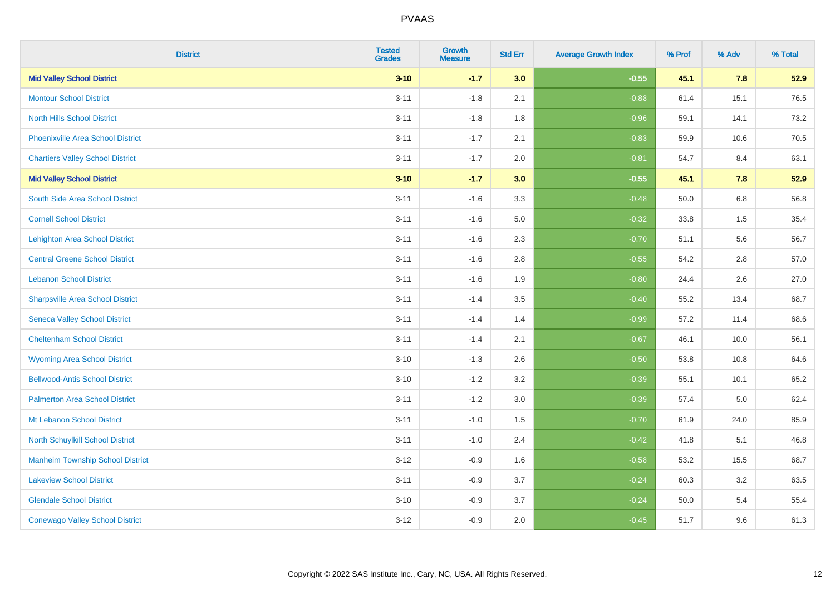| <b>District</b>                          | <b>Tested</b><br><b>Grades</b> | <b>Growth</b><br><b>Measure</b> | <b>Std Err</b> | <b>Average Growth Index</b> | % Prof | % Adv | % Total |
|------------------------------------------|--------------------------------|---------------------------------|----------------|-----------------------------|--------|-------|---------|
| <b>Mid Valley School District</b>        | $3 - 10$                       | $-1.7$                          | 3.0            | $-0.55$                     | 45.1   | 7.8   | 52.9    |
| <b>Montour School District</b>           | $3 - 11$                       | $-1.8$                          | 2.1            | $-0.88$                     | 61.4   | 15.1  | 76.5    |
| <b>North Hills School District</b>       | $3 - 11$                       | $-1.8$                          | 1.8            | $-0.96$                     | 59.1   | 14.1  | 73.2    |
| <b>Phoenixville Area School District</b> | $3 - 11$                       | $-1.7$                          | 2.1            | $-0.83$                     | 59.9   | 10.6  | 70.5    |
| <b>Chartiers Valley School District</b>  | $3 - 11$                       | $-1.7$                          | 2.0            | $-0.81$                     | 54.7   | 8.4   | 63.1    |
| <b>Mid Valley School District</b>        | $3 - 10$                       | $-1.7$                          | 3.0            | $-0.55$                     | 45.1   | 7.8   | 52.9    |
| South Side Area School District          | $3 - 11$                       | $-1.6$                          | 3.3            | $-0.48$                     | 50.0   | 6.8   | 56.8    |
| <b>Cornell School District</b>           | $3 - 11$                       | $-1.6$                          | 5.0            | $-0.32$                     | 33.8   | 1.5   | 35.4    |
| <b>Lehighton Area School District</b>    | $3 - 11$                       | $-1.6$                          | 2.3            | $-0.70$                     | 51.1   | 5.6   | 56.7    |
| <b>Central Greene School District</b>    | $3 - 11$                       | $-1.6$                          | 2.8            | $-0.55$                     | 54.2   | 2.8   | 57.0    |
| <b>Lebanon School District</b>           | $3 - 11$                       | $-1.6$                          | 1.9            | $-0.80$                     | 24.4   | 2.6   | 27.0    |
| <b>Sharpsville Area School District</b>  | $3 - 11$                       | $-1.4$                          | 3.5            | $-0.40$                     | 55.2   | 13.4  | 68.7    |
| <b>Seneca Valley School District</b>     | $3 - 11$                       | $-1.4$                          | 1.4            | $-0.99$                     | 57.2   | 11.4  | 68.6    |
| <b>Cheltenham School District</b>        | $3 - 11$                       | $-1.4$                          | 2.1            | $-0.67$                     | 46.1   | 10.0  | 56.1    |
| <b>Wyoming Area School District</b>      | $3 - 10$                       | $-1.3$                          | 2.6            | $-0.50$                     | 53.8   | 10.8  | 64.6    |
| <b>Bellwood-Antis School District</b>    | $3 - 10$                       | $-1.2$                          | 3.2            | $-0.39$                     | 55.1   | 10.1  | 65.2    |
| <b>Palmerton Area School District</b>    | $3 - 11$                       | $-1.2$                          | 3.0            | $-0.39$                     | 57.4   | 5.0   | 62.4    |
| Mt Lebanon School District               | $3 - 11$                       | $-1.0$                          | 1.5            | $-0.70$                     | 61.9   | 24.0  | 85.9    |
| North Schuylkill School District         | $3 - 11$                       | $-1.0$                          | 2.4            | $-0.42$                     | 41.8   | 5.1   | 46.8    |
| <b>Manheim Township School District</b>  | $3 - 12$                       | $-0.9$                          | 1.6            | $-0.58$                     | 53.2   | 15.5  | 68.7    |
| <b>Lakeview School District</b>          | $3 - 11$                       | $-0.9$                          | 3.7            | $-0.24$                     | 60.3   | 3.2   | 63.5    |
| <b>Glendale School District</b>          | $3 - 10$                       | $-0.9$                          | 3.7            | $-0.24$                     | 50.0   | 5.4   | 55.4    |
| <b>Conewago Valley School District</b>   | $3 - 12$                       | $-0.9$                          | 2.0            | $-0.45$                     | 51.7   | 9.6   | 61.3    |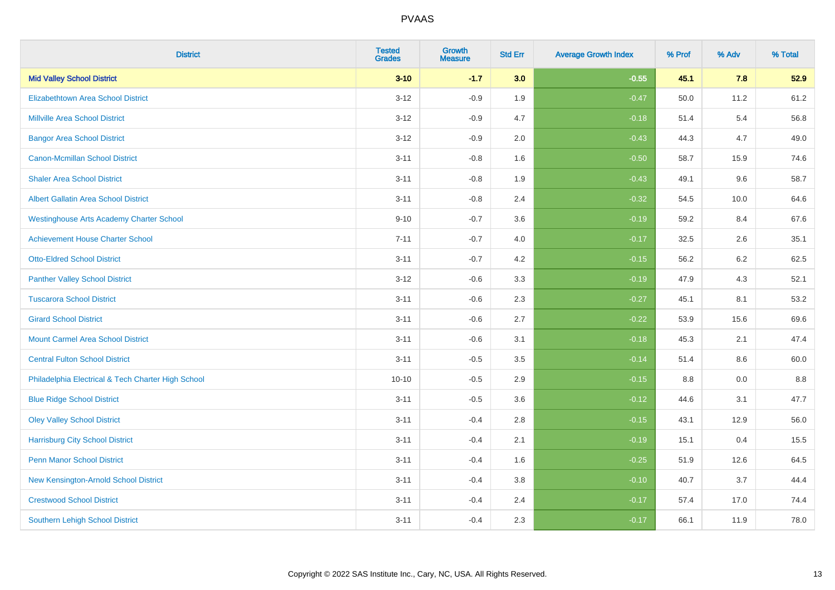| <b>District</b>                                    | <b>Tested</b><br><b>Grades</b> | <b>Growth</b><br><b>Measure</b> | <b>Std Err</b> | <b>Average Growth Index</b> | % Prof | % Adv | % Total |
|----------------------------------------------------|--------------------------------|---------------------------------|----------------|-----------------------------|--------|-------|---------|
| <b>Mid Valley School District</b>                  | $3 - 10$                       | $-1.7$                          | 3.0            | $-0.55$                     | 45.1   | 7.8   | 52.9    |
| <b>Elizabethtown Area School District</b>          | $3 - 12$                       | $-0.9$                          | 1.9            | $-0.47$                     | 50.0   | 11.2  | 61.2    |
| <b>Millville Area School District</b>              | $3 - 12$                       | $-0.9$                          | 4.7            | $-0.18$                     | 51.4   | 5.4   | 56.8    |
| <b>Bangor Area School District</b>                 | $3 - 12$                       | $-0.9$                          | 2.0            | $-0.43$                     | 44.3   | 4.7   | 49.0    |
| <b>Canon-Mcmillan School District</b>              | $3 - 11$                       | $-0.8$                          | 1.6            | $-0.50$                     | 58.7   | 15.9  | 74.6    |
| <b>Shaler Area School District</b>                 | $3 - 11$                       | $-0.8$                          | 1.9            | $-0.43$                     | 49.1   | 9.6   | 58.7    |
| Albert Gallatin Area School District               | $3 - 11$                       | $-0.8$                          | 2.4            | $-0.32$                     | 54.5   | 10.0  | 64.6    |
| <b>Westinghouse Arts Academy Charter School</b>    | $9 - 10$                       | $-0.7$                          | 3.6            | $-0.19$                     | 59.2   | 8.4   | 67.6    |
| <b>Achievement House Charter School</b>            | $7 - 11$                       | $-0.7$                          | 4.0            | $-0.17$                     | 32.5   | 2.6   | 35.1    |
| <b>Otto-Eldred School District</b>                 | $3 - 11$                       | $-0.7$                          | 4.2            | $-0.15$                     | 56.2   | 6.2   | 62.5    |
| <b>Panther Valley School District</b>              | $3 - 12$                       | $-0.6$                          | 3.3            | $-0.19$                     | 47.9   | 4.3   | 52.1    |
| <b>Tuscarora School District</b>                   | $3 - 11$                       | $-0.6$                          | 2.3            | $-0.27$                     | 45.1   | 8.1   | 53.2    |
| <b>Girard School District</b>                      | $3 - 11$                       | $-0.6$                          | 2.7            | $-0.22$                     | 53.9   | 15.6  | 69.6    |
| <b>Mount Carmel Area School District</b>           | $3 - 11$                       | $-0.6$                          | 3.1            | $-0.18$                     | 45.3   | 2.1   | 47.4    |
| <b>Central Fulton School District</b>              | $3 - 11$                       | $-0.5$                          | 3.5            | $-0.14$                     | 51.4   | 8.6   | 60.0    |
| Philadelphia Electrical & Tech Charter High School | $10 - 10$                      | $-0.5$                          | 2.9            | $-0.15$                     | 8.8    | 0.0   | $8.8\,$ |
| <b>Blue Ridge School District</b>                  | $3 - 11$                       | $-0.5$                          | 3.6            | $-0.12$                     | 44.6   | 3.1   | 47.7    |
| <b>Oley Valley School District</b>                 | $3 - 11$                       | $-0.4$                          | 2.8            | $-0.15$                     | 43.1   | 12.9  | 56.0    |
| <b>Harrisburg City School District</b>             | $3 - 11$                       | $-0.4$                          | 2.1            | $-0.19$                     | 15.1   | 0.4   | 15.5    |
| <b>Penn Manor School District</b>                  | $3 - 11$                       | $-0.4$                          | 1.6            | $-0.25$                     | 51.9   | 12.6  | 64.5    |
| New Kensington-Arnold School District              | $3 - 11$                       | $-0.4$                          | 3.8            | $-0.10$                     | 40.7   | 3.7   | 44.4    |
| <b>Crestwood School District</b>                   | $3 - 11$                       | $-0.4$                          | 2.4            | $-0.17$                     | 57.4   | 17.0  | 74.4    |
| <b>Southern Lehigh School District</b>             | $3 - 11$                       | $-0.4$                          | 2.3            | $-0.17$                     | 66.1   | 11.9  | 78.0    |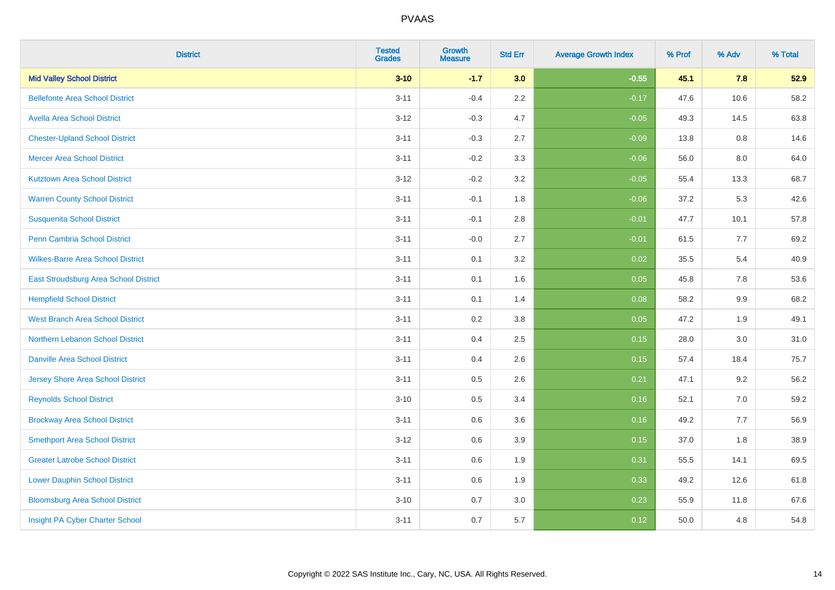| <b>District</b>                          | <b>Tested</b><br><b>Grades</b> | <b>Growth</b><br><b>Measure</b> | <b>Std Err</b> | <b>Average Growth Index</b> | % Prof | % Adv | % Total |
|------------------------------------------|--------------------------------|---------------------------------|----------------|-----------------------------|--------|-------|---------|
| <b>Mid Valley School District</b>        | $3 - 10$                       | $-1.7$                          | 3.0            | $-0.55$                     | 45.1   | 7.8   | 52.9    |
| <b>Bellefonte Area School District</b>   | $3 - 11$                       | $-0.4$                          | $2.2\,$        | $-0.17$                     | 47.6   | 10.6  | 58.2    |
| <b>Avella Area School District</b>       | $3 - 12$                       | $-0.3$                          | 4.7            | $-0.05$                     | 49.3   | 14.5  | 63.8    |
| <b>Chester-Upland School District</b>    | $3 - 11$                       | $-0.3$                          | 2.7            | $-0.09$                     | 13.8   | 0.8   | 14.6    |
| <b>Mercer Area School District</b>       | $3 - 11$                       | $-0.2$                          | 3.3            | $-0.06$                     | 56.0   | 8.0   | 64.0    |
| <b>Kutztown Area School District</b>     | $3 - 12$                       | $-0.2$                          | 3.2            | $-0.05$                     | 55.4   | 13.3  | 68.7    |
| <b>Warren County School District</b>     | $3 - 11$                       | $-0.1$                          | 1.8            | $-0.06$                     | 37.2   | 5.3   | 42.6    |
| <b>Susquenita School District</b>        | $3 - 11$                       | $-0.1$                          | $2.8\,$        | $-0.01$                     | 47.7   | 10.1  | 57.8    |
| Penn Cambria School District             | $3 - 11$                       | $-0.0$                          | 2.7            | $-0.01$                     | 61.5   | 7.7   | 69.2    |
| <b>Wilkes-Barre Area School District</b> | $3 - 11$                       | 0.1                             | 3.2            | 0.02                        | 35.5   | 5.4   | 40.9    |
| East Stroudsburg Area School District    | $3 - 11$                       | 0.1                             | 1.6            | 0.05                        | 45.8   | 7.8   | 53.6    |
| <b>Hempfield School District</b>         | $3 - 11$                       | 0.1                             | 1.4            | 0.08                        | 58.2   | 9.9   | 68.2    |
| <b>West Branch Area School District</b>  | $3 - 11$                       | 0.2                             | $3.8\,$        | 0.05                        | 47.2   | 1.9   | 49.1    |
| Northern Lebanon School District         | $3 - 11$                       | 0.4                             | 2.5            | 0.15                        | 28.0   | 3.0   | 31.0    |
| <b>Danville Area School District</b>     | $3 - 11$                       | 0.4                             | 2.6            | 0.15                        | 57.4   | 18.4  | 75.7    |
| <b>Jersey Shore Area School District</b> | $3 - 11$                       | 0.5                             | 2.6            | 0.21                        | 47.1   | 9.2   | 56.2    |
| <b>Reynolds School District</b>          | $3 - 10$                       | 0.5                             | 3.4            | 0.16                        | 52.1   | 7.0   | 59.2    |
| <b>Brockway Area School District</b>     | $3 - 11$                       | 0.6                             | 3.6            | 0.16                        | 49.2   | 7.7   | 56.9    |
| <b>Smethport Area School District</b>    | $3 - 12$                       | 0.6                             | 3.9            | 0.15                        | 37.0   | 1.8   | 38.9    |
| <b>Greater Latrobe School District</b>   | $3 - 11$                       | 0.6                             | 1.9            | 0.31                        | 55.5   | 14.1  | 69.5    |
| <b>Lower Dauphin School District</b>     | $3 - 11$                       | 0.6                             | 1.9            | 0.33                        | 49.2   | 12.6  | 61.8    |
| <b>Bloomsburg Area School District</b>   | $3 - 10$                       | 0.7                             | 3.0            | 0.23                        | 55.9   | 11.8  | 67.6    |
| Insight PA Cyber Charter School          | $3 - 11$                       | 0.7                             | 5.7            | 0.12                        | 50.0   | 4.8   | 54.8    |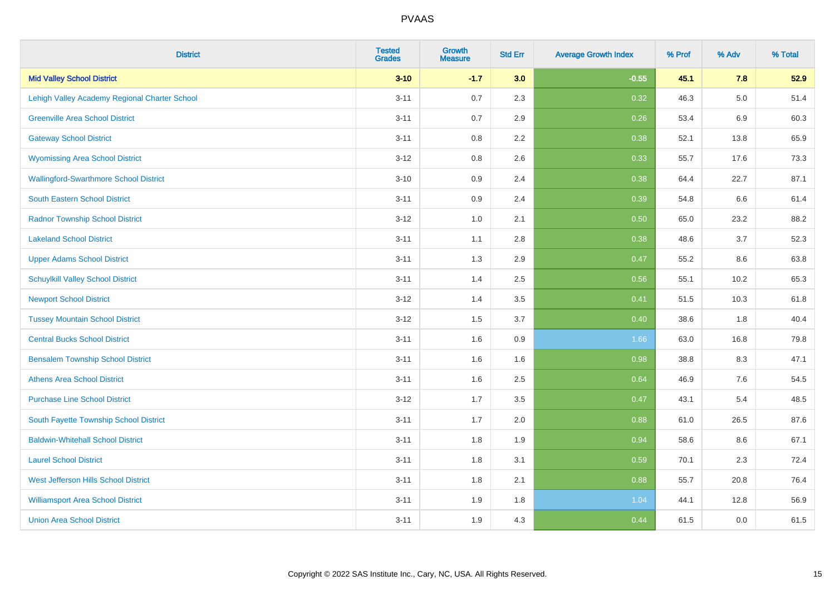| <b>District</b>                               | <b>Tested</b><br><b>Grades</b> | <b>Growth</b><br><b>Measure</b> | <b>Std Err</b> | <b>Average Growth Index</b> | % Prof | % Adv   | % Total |
|-----------------------------------------------|--------------------------------|---------------------------------|----------------|-----------------------------|--------|---------|---------|
| <b>Mid Valley School District</b>             | $3 - 10$                       | $-1.7$                          | 3.0            | $-0.55$                     | 45.1   | 7.8     | 52.9    |
| Lehigh Valley Academy Regional Charter School | $3 - 11$                       | 0.7                             | 2.3            | 0.32                        | 46.3   | $5.0\,$ | 51.4    |
| <b>Greenville Area School District</b>        | $3 - 11$                       | 0.7                             | 2.9            | 0.26                        | 53.4   | 6.9     | 60.3    |
| <b>Gateway School District</b>                | $3 - 11$                       | $0.8\,$                         | 2.2            | 0.38                        | 52.1   | 13.8    | 65.9    |
| <b>Wyomissing Area School District</b>        | $3 - 12$                       | 0.8                             | 2.6            | 0.33                        | 55.7   | 17.6    | 73.3    |
| <b>Wallingford-Swarthmore School District</b> | $3 - 10$                       | 0.9                             | 2.4            | 0.38                        | 64.4   | 22.7    | 87.1    |
| South Eastern School District                 | $3 - 11$                       | 0.9                             | 2.4            | 0.39                        | 54.8   | 6.6     | 61.4    |
| <b>Radnor Township School District</b>        | $3 - 12$                       | $1.0\,$                         | 2.1            | 0.50                        | 65.0   | 23.2    | 88.2    |
| <b>Lakeland School District</b>               | $3 - 11$                       | 1.1                             | 2.8            | 0.38                        | 48.6   | 3.7     | 52.3    |
| <b>Upper Adams School District</b>            | $3 - 11$                       | 1.3                             | 2.9            | 0.47                        | 55.2   | 8.6     | 63.8    |
| <b>Schuylkill Valley School District</b>      | $3 - 11$                       | 1.4                             | 2.5            | 0.56                        | 55.1   | 10.2    | 65.3    |
| <b>Newport School District</b>                | $3 - 12$                       | 1.4                             | 3.5            | 0.41                        | 51.5   | 10.3    | 61.8    |
| <b>Tussey Mountain School District</b>        | $3 - 12$                       | 1.5                             | 3.7            | 0.40                        | 38.6   | 1.8     | 40.4    |
| <b>Central Bucks School District</b>          | $3 - 11$                       | 1.6                             | 0.9            | 1.66                        | 63.0   | 16.8    | 79.8    |
| <b>Bensalem Township School District</b>      | $3 - 11$                       | 1.6                             | 1.6            | 0.98                        | 38.8   | 8.3     | 47.1    |
| <b>Athens Area School District</b>            | $3 - 11$                       | 1.6                             | 2.5            | 0.64                        | 46.9   | 7.6     | 54.5    |
| <b>Purchase Line School District</b>          | $3 - 12$                       | 1.7                             | 3.5            | 0.47                        | 43.1   | 5.4     | 48.5    |
| South Fayette Township School District        | $3 - 11$                       | 1.7                             | 2.0            | 0.88                        | 61.0   | 26.5    | 87.6    |
| <b>Baldwin-Whitehall School District</b>      | $3 - 11$                       | 1.8                             | 1.9            | 0.94                        | 58.6   | $8.6\,$ | 67.1    |
| <b>Laurel School District</b>                 | $3 - 11$                       | 1.8                             | 3.1            | 0.59                        | 70.1   | 2.3     | 72.4    |
| <b>West Jefferson Hills School District</b>   | $3 - 11$                       | 1.8                             | 2.1            | 0.88                        | 55.7   | 20.8    | 76.4    |
| <b>Williamsport Area School District</b>      | $3 - 11$                       | 1.9                             | 1.8            | 1.04                        | 44.1   | 12.8    | 56.9    |
| <b>Union Area School District</b>             | $3 - 11$                       | 1.9                             | 4.3            | 0.44                        | 61.5   | 0.0     | 61.5    |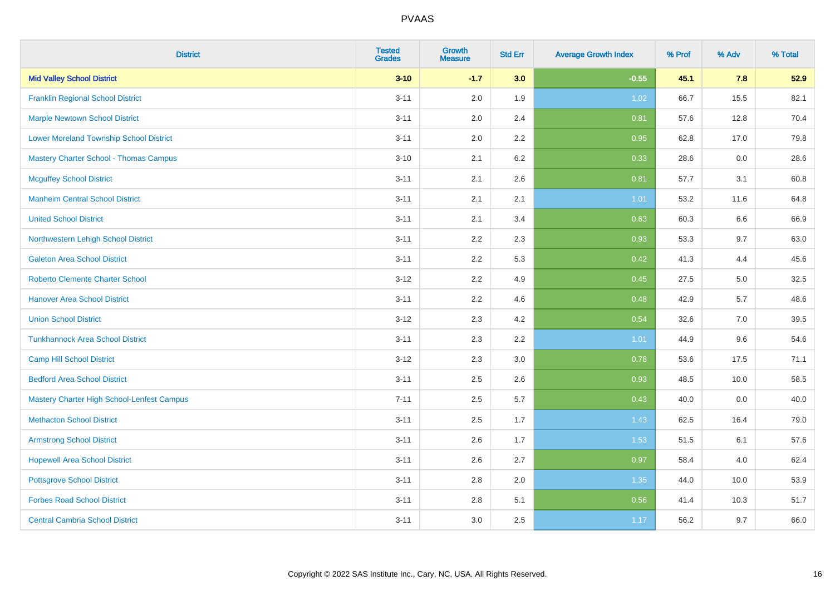| <b>District</b>                                | <b>Tested</b><br><b>Grades</b> | <b>Growth</b><br><b>Measure</b> | <b>Std Err</b> | <b>Average Growth Index</b> | % Prof | % Adv | % Total |
|------------------------------------------------|--------------------------------|---------------------------------|----------------|-----------------------------|--------|-------|---------|
| <b>Mid Valley School District</b>              | $3 - 10$                       | $-1.7$                          | 3.0            | $-0.55$                     | 45.1   | 7.8   | 52.9    |
| <b>Franklin Regional School District</b>       | $3 - 11$                       | 2.0                             | 1.9            | 1.02                        | 66.7   | 15.5  | 82.1    |
| <b>Marple Newtown School District</b>          | $3 - 11$                       | 2.0                             | 2.4            | 0.81                        | 57.6   | 12.8  | 70.4    |
| <b>Lower Moreland Township School District</b> | $3 - 11$                       | 2.0                             | 2.2            | 0.95                        | 62.8   | 17.0  | 79.8    |
| <b>Mastery Charter School - Thomas Campus</b>  | $3 - 10$                       | 2.1                             | 6.2            | 0.33                        | 28.6   | 0.0   | 28.6    |
| <b>Mcguffey School District</b>                | $3 - 11$                       | 2.1                             | 2.6            | 0.81                        | 57.7   | 3.1   | 60.8    |
| <b>Manheim Central School District</b>         | $3 - 11$                       | 2.1                             | 2.1            | 1.01                        | 53.2   | 11.6  | 64.8    |
| <b>United School District</b>                  | $3 - 11$                       | 2.1                             | 3.4            | 0.63                        | 60.3   | 6.6   | 66.9    |
| Northwestern Lehigh School District            | $3 - 11$                       | 2.2                             | 2.3            | 0.93                        | 53.3   | 9.7   | 63.0    |
| <b>Galeton Area School District</b>            | $3 - 11$                       | 2.2                             | 5.3            | 0.42                        | 41.3   | 4.4   | 45.6    |
| <b>Roberto Clemente Charter School</b>         | $3 - 12$                       | 2.2                             | 4.9            | 0.45                        | 27.5   | 5.0   | 32.5    |
| <b>Hanover Area School District</b>            | $3 - 11$                       | 2.2                             | 4.6            | 0.48                        | 42.9   | 5.7   | 48.6    |
| <b>Union School District</b>                   | $3 - 12$                       | 2.3                             | 4.2            | 0.54                        | 32.6   | 7.0   | 39.5    |
| <b>Tunkhannock Area School District</b>        | $3 - 11$                       | 2.3                             | 2.2            | 1.01                        | 44.9   | 9.6   | 54.6    |
| <b>Camp Hill School District</b>               | $3 - 12$                       | 2.3                             | 3.0            | 0.78                        | 53.6   | 17.5  | 71.1    |
| <b>Bedford Area School District</b>            | $3 - 11$                       | 2.5                             | 2.6            | 0.93                        | 48.5   | 10.0  | 58.5    |
| Mastery Charter High School-Lenfest Campus     | $7 - 11$                       | 2.5                             | 5.7            | 0.43                        | 40.0   | 0.0   | 40.0    |
| <b>Methacton School District</b>               | $3 - 11$                       | 2.5                             | 1.7            | 1.43                        | 62.5   | 16.4  | 79.0    |
| <b>Armstrong School District</b>               | $3 - 11$                       | 2.6                             | 1.7            | 1.53                        | 51.5   | 6.1   | 57.6    |
| <b>Hopewell Area School District</b>           | $3 - 11$                       | 2.6                             | 2.7            | 0.97                        | 58.4   | 4.0   | 62.4    |
| <b>Pottsgrove School District</b>              | $3 - 11$                       | 2.8                             | 2.0            | 1.35                        | 44.0   | 10.0  | 53.9    |
| <b>Forbes Road School District</b>             | $3 - 11$                       | 2.8                             | 5.1            | 0.56                        | 41.4   | 10.3  | 51.7    |
| <b>Central Cambria School District</b>         | $3 - 11$                       | 3.0                             | 2.5            | 1.17                        | 56.2   | 9.7   | 66.0    |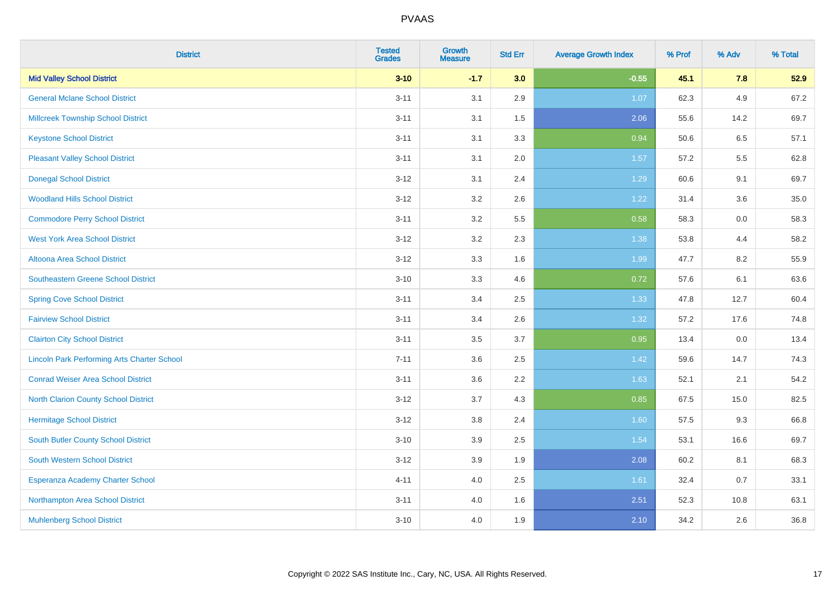| <b>District</b>                                    | <b>Tested</b><br><b>Grades</b> | <b>Growth</b><br><b>Measure</b> | <b>Std Err</b> | <b>Average Growth Index</b> | % Prof | % Adv | % Total |
|----------------------------------------------------|--------------------------------|---------------------------------|----------------|-----------------------------|--------|-------|---------|
| <b>Mid Valley School District</b>                  | $3 - 10$                       | $-1.7$                          | 3.0            | $-0.55$                     | 45.1   | 7.8   | 52.9    |
| <b>General Mclane School District</b>              | $3 - 11$                       | 3.1                             | 2.9            | 1.07                        | 62.3   | 4.9   | 67.2    |
| <b>Millcreek Township School District</b>          | $3 - 11$                       | 3.1                             | 1.5            | 2.06                        | 55.6   | 14.2  | 69.7    |
| <b>Keystone School District</b>                    | $3 - 11$                       | 3.1                             | 3.3            | 0.94                        | 50.6   | 6.5   | 57.1    |
| <b>Pleasant Valley School District</b>             | $3 - 11$                       | 3.1                             | 2.0            | 1.57                        | 57.2   | 5.5   | 62.8    |
| <b>Donegal School District</b>                     | $3 - 12$                       | 3.1                             | 2.4            | 1.29                        | 60.6   | 9.1   | 69.7    |
| <b>Woodland Hills School District</b>              | $3 - 12$                       | 3.2                             | 2.6            | 1.22                        | 31.4   | 3.6   | 35.0    |
| <b>Commodore Perry School District</b>             | $3 - 11$                       | 3.2                             | 5.5            | 0.58                        | 58.3   | 0.0   | 58.3    |
| <b>West York Area School District</b>              | $3 - 12$                       | 3.2                             | 2.3            | 1.38                        | 53.8   | 4.4   | 58.2    |
| <b>Altoona Area School District</b>                | $3 - 12$                       | 3.3                             | 1.6            | 1.99                        | 47.7   | 8.2   | 55.9    |
| Southeastern Greene School District                | $3 - 10$                       | 3.3                             | 4.6            | 0.72                        | 57.6   | 6.1   | 63.6    |
| <b>Spring Cove School District</b>                 | $3 - 11$                       | 3.4                             | 2.5            | 1.33                        | 47.8   | 12.7  | 60.4    |
| <b>Fairview School District</b>                    | $3 - 11$                       | 3.4                             | 2.6            | 1.32                        | 57.2   | 17.6  | 74.8    |
| <b>Clairton City School District</b>               | $3 - 11$                       | $3.5\,$                         | 3.7            | 0.95                        | 13.4   | 0.0   | 13.4    |
| <b>Lincoln Park Performing Arts Charter School</b> | $7 - 11$                       | 3.6                             | 2.5            | 1.42                        | 59.6   | 14.7  | 74.3    |
| <b>Conrad Weiser Area School District</b>          | $3 - 11$                       | 3.6                             | 2.2            | 1.63                        | 52.1   | 2.1   | 54.2    |
| <b>North Clarion County School District</b>        | $3 - 12$                       | 3.7                             | 4.3            | 0.85                        | 67.5   | 15.0  | 82.5    |
| <b>Hermitage School District</b>                   | $3 - 12$                       | 3.8                             | 2.4            | 1.60                        | 57.5   | 9.3   | 66.8    |
| <b>South Butler County School District</b>         | $3 - 10$                       | 3.9                             | 2.5            | 1.54                        | 53.1   | 16.6  | 69.7    |
| <b>South Western School District</b>               | $3 - 12$                       | 3.9                             | 1.9            | 2.08                        | 60.2   | 8.1   | 68.3    |
| Esperanza Academy Charter School                   | $4 - 11$                       | 4.0                             | 2.5            | 1.61                        | 32.4   | 0.7   | 33.1    |
| Northampton Area School District                   | $3 - 11$                       | 4.0                             | 1.6            | 2.51                        | 52.3   | 10.8  | 63.1    |
| <b>Muhlenberg School District</b>                  | $3 - 10$                       | 4.0                             | 1.9            | 2.10                        | 34.2   | 2.6   | 36.8    |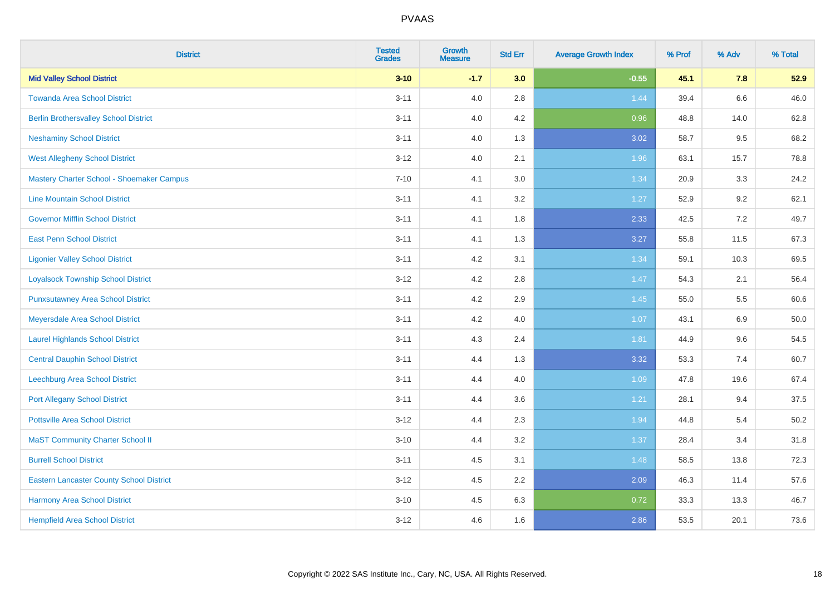| <b>District</b>                                 | <b>Tested</b><br><b>Grades</b> | <b>Growth</b><br><b>Measure</b> | <b>Std Err</b> | <b>Average Growth Index</b> | % Prof | % Adv | % Total |
|-------------------------------------------------|--------------------------------|---------------------------------|----------------|-----------------------------|--------|-------|---------|
| <b>Mid Valley School District</b>               | $3 - 10$                       | $-1.7$                          | 3.0            | $-0.55$                     | 45.1   | 7.8   | 52.9    |
| <b>Towanda Area School District</b>             | $3 - 11$                       | 4.0                             | 2.8            | 1.44                        | 39.4   | 6.6   | 46.0    |
| <b>Berlin Brothersvalley School District</b>    | $3 - 11$                       | 4.0                             | 4.2            | 0.96                        | 48.8   | 14.0  | 62.8    |
| <b>Neshaminy School District</b>                | $3 - 11$                       | 4.0                             | 1.3            | 3.02                        | 58.7   | 9.5   | 68.2    |
| <b>West Allegheny School District</b>           | $3 - 12$                       | 4.0                             | 2.1            | 1.96                        | 63.1   | 15.7  | 78.8    |
| Mastery Charter School - Shoemaker Campus       | $7 - 10$                       | 4.1                             | 3.0            | 1.34                        | 20.9   | 3.3   | 24.2    |
| <b>Line Mountain School District</b>            | $3 - 11$                       | 4.1                             | 3.2            | 1.27                        | 52.9   | 9.2   | 62.1    |
| <b>Governor Mifflin School District</b>         | $3 - 11$                       | 4.1                             | 1.8            | 2.33                        | 42.5   | 7.2   | 49.7    |
| <b>East Penn School District</b>                | $3 - 11$                       | 4.1                             | 1.3            | 3.27                        | 55.8   | 11.5  | 67.3    |
| <b>Ligonier Valley School District</b>          | $3 - 11$                       | 4.2                             | 3.1            | 1.34                        | 59.1   | 10.3  | 69.5    |
| <b>Loyalsock Township School District</b>       | $3 - 12$                       | 4.2                             | 2.8            | 1.47                        | 54.3   | 2.1   | 56.4    |
| <b>Punxsutawney Area School District</b>        | $3 - 11$                       | 4.2                             | 2.9            | 1.45                        | 55.0   | 5.5   | 60.6    |
| Meyersdale Area School District                 | $3 - 11$                       | 4.2                             | 4.0            | 1.07                        | 43.1   | 6.9   | 50.0    |
| <b>Laurel Highlands School District</b>         | $3 - 11$                       | 4.3                             | 2.4            | 1.81                        | 44.9   | 9.6   | 54.5    |
| <b>Central Dauphin School District</b>          | $3 - 11$                       | 4.4                             | 1.3            | 3.32                        | 53.3   | 7.4   | 60.7    |
| Leechburg Area School District                  | $3 - 11$                       | 4.4                             | 4.0            | 1.09                        | 47.8   | 19.6  | 67.4    |
| <b>Port Allegany School District</b>            | $3 - 11$                       | 4.4                             | 3.6            | 1.21                        | 28.1   | 9.4   | 37.5    |
| <b>Pottsville Area School District</b>          | $3 - 12$                       | 4.4                             | 2.3            | 1.94                        | 44.8   | 5.4   | 50.2    |
| <b>MaST Community Charter School II</b>         | $3 - 10$                       | 4.4                             | 3.2            | 1.37                        | 28.4   | 3.4   | 31.8    |
| <b>Burrell School District</b>                  | $3 - 11$                       | 4.5                             | 3.1            | 1.48                        | 58.5   | 13.8  | 72.3    |
| <b>Eastern Lancaster County School District</b> | $3 - 12$                       | 4.5                             | 2.2            | 2.09                        | 46.3   | 11.4  | 57.6    |
| Harmony Area School District                    | $3 - 10$                       | 4.5                             | 6.3            | 0.72                        | 33.3   | 13.3  | 46.7    |
| <b>Hempfield Area School District</b>           | $3 - 12$                       | 4.6                             | 1.6            | 2.86                        | 53.5   | 20.1  | 73.6    |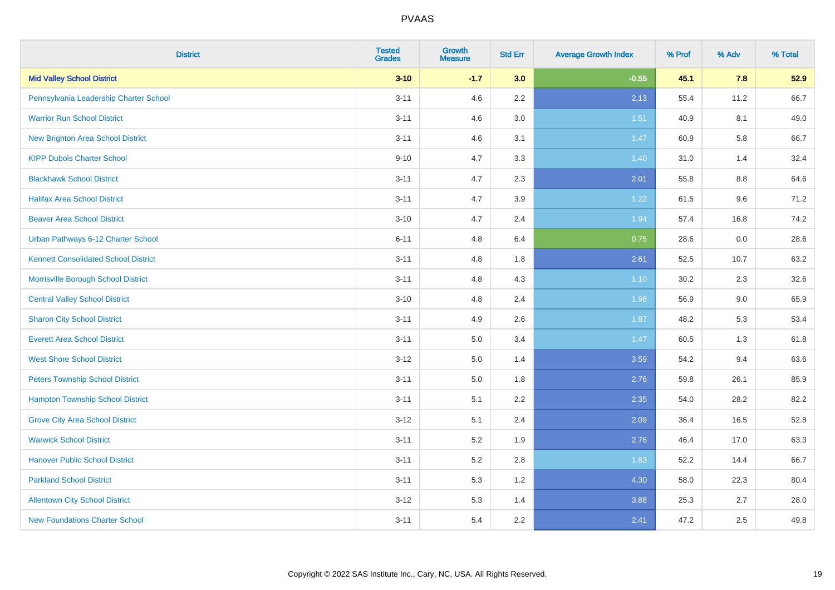| <b>District</b>                             | <b>Tested</b><br><b>Grades</b> | <b>Growth</b><br><b>Measure</b> | <b>Std Err</b> | <b>Average Growth Index</b> | % Prof | % Adv | % Total |
|---------------------------------------------|--------------------------------|---------------------------------|----------------|-----------------------------|--------|-------|---------|
| <b>Mid Valley School District</b>           | $3 - 10$                       | $-1.7$                          | 3.0            | $-0.55$                     | 45.1   | 7.8   | 52.9    |
| Pennsylvania Leadership Charter School      | $3 - 11$                       | 4.6                             | $2.2\,$        | 2.13                        | 55.4   | 11.2  | 66.7    |
| <b>Warrior Run School District</b>          | $3 - 11$                       | 4.6                             | 3.0            | 1.51                        | 40.9   | 8.1   | 49.0    |
| <b>New Brighton Area School District</b>    | $3 - 11$                       | 4.6                             | 3.1            | 1.47                        | 60.9   | 5.8   | 66.7    |
| <b>KIPP Dubois Charter School</b>           | $9 - 10$                       | 4.7                             | 3.3            | 1.40                        | 31.0   | 1.4   | 32.4    |
| <b>Blackhawk School District</b>            | $3 - 11$                       | 4.7                             | 2.3            | 2.01                        | 55.8   | 8.8   | 64.6    |
| <b>Halifax Area School District</b>         | $3 - 11$                       | 4.7                             | 3.9            | 1.22                        | 61.5   | 9.6   | 71.2    |
| <b>Beaver Area School District</b>          | $3 - 10$                       | 4.7                             | 2.4            | 1.94                        | 57.4   | 16.8  | 74.2    |
| Urban Pathways 6-12 Charter School          | $6 - 11$                       | 4.8                             | 6.4            | 0.75                        | 28.6   | 0.0   | 28.6    |
| <b>Kennett Consolidated School District</b> | $3 - 11$                       | 4.8                             | 1.8            | 2.61                        | 52.5   | 10.7  | 63.2    |
| Morrisville Borough School District         | $3 - 11$                       | 4.8                             | 4.3            | $1.10$                      | 30.2   | 2.3   | 32.6    |
| <b>Central Valley School District</b>       | $3 - 10$                       | 4.8                             | 2.4            | 1.98                        | 56.9   | 9.0   | 65.9    |
| <b>Sharon City School District</b>          | $3 - 11$                       | 4.9                             | 2.6            | 1.87                        | 48.2   | 5.3   | 53.4    |
| <b>Everett Area School District</b>         | $3 - 11$                       | $5.0\,$                         | 3.4            | 1.47                        | 60.5   | 1.3   | 61.8    |
| <b>West Shore School District</b>           | $3 - 12$                       | 5.0                             | 1.4            | 3.59                        | 54.2   | 9.4   | 63.6    |
| <b>Peters Township School District</b>      | $3 - 11$                       | 5.0                             | 1.8            | 2.76                        | 59.8   | 26.1  | 85.9    |
| <b>Hampton Township School District</b>     | $3 - 11$                       | 5.1                             | 2.2            | 2.35                        | 54.0   | 28.2  | 82.2    |
| <b>Grove City Area School District</b>      | $3 - 12$                       | 5.1                             | 2.4            | 2.09                        | 36.4   | 16.5  | 52.8    |
| <b>Warwick School District</b>              | $3 - 11$                       | 5.2                             | 1.9            | 2.76                        | 46.4   | 17.0  | 63.3    |
| <b>Hanover Public School District</b>       | $3 - 11$                       | 5.2                             | 2.8            | 1.83                        | 52.2   | 14.4  | 66.7    |
| <b>Parkland School District</b>             | $3 - 11$                       | 5.3                             | 1.2            | 4.30                        | 58.0   | 22.3  | 80.4    |
| <b>Allentown City School District</b>       | $3 - 12$                       | 5.3                             | 1.4            | 3.88                        | 25.3   | 2.7   | 28.0    |
| <b>New Foundations Charter School</b>       | $3 - 11$                       | 5.4                             | 2.2            | 2.41                        | 47.2   | 2.5   | 49.8    |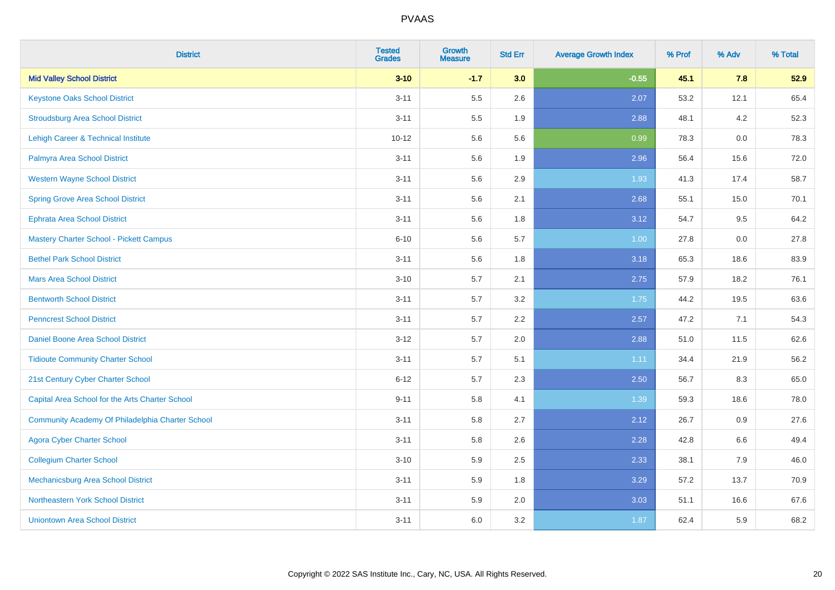| <b>District</b>                                  | <b>Tested</b><br><b>Grades</b> | <b>Growth</b><br><b>Measure</b> | <b>Std Err</b> | <b>Average Growth Index</b> | % Prof | % Adv | % Total |
|--------------------------------------------------|--------------------------------|---------------------------------|----------------|-----------------------------|--------|-------|---------|
| <b>Mid Valley School District</b>                | $3 - 10$                       | $-1.7$                          | 3.0            | $-0.55$                     | 45.1   | 7.8   | 52.9    |
| <b>Keystone Oaks School District</b>             | $3 - 11$                       | 5.5                             | 2.6            | 2.07                        | 53.2   | 12.1  | 65.4    |
| <b>Stroudsburg Area School District</b>          | $3 - 11$                       | $5.5\,$                         | 1.9            | 2.88                        | 48.1   | 4.2   | 52.3    |
| <b>Lehigh Career &amp; Technical Institute</b>   | $10 - 12$                      | 5.6                             | 5.6            | 0.99                        | 78.3   | 0.0   | 78.3    |
| Palmyra Area School District                     | $3 - 11$                       | 5.6                             | 1.9            | 2.96                        | 56.4   | 15.6  | 72.0    |
| <b>Western Wayne School District</b>             | $3 - 11$                       | 5.6                             | 2.9            | 1.93                        | 41.3   | 17.4  | 58.7    |
| <b>Spring Grove Area School District</b>         | $3 - 11$                       | 5.6                             | 2.1            | 2.68                        | 55.1   | 15.0  | 70.1    |
| <b>Ephrata Area School District</b>              | $3 - 11$                       | 5.6                             | 1.8            | 3.12                        | 54.7   | 9.5   | 64.2    |
| Mastery Charter School - Pickett Campus          | $6 - 10$                       | 5.6                             | 5.7            | 1.00                        | 27.8   | 0.0   | 27.8    |
| <b>Bethel Park School District</b>               | $3 - 11$                       | $5.6\,$                         | 1.8            | 3.18                        | 65.3   | 18.6  | 83.9    |
| <b>Mars Area School District</b>                 | $3 - 10$                       | 5.7                             | 2.1            | 2.75                        | 57.9   | 18.2  | 76.1    |
| <b>Bentworth School District</b>                 | $3 - 11$                       | 5.7                             | 3.2            | 1.75                        | 44.2   | 19.5  | 63.6    |
| <b>Penncrest School District</b>                 | $3 - 11$                       | 5.7                             | 2.2            | 2.57                        | 47.2   | 7.1   | 54.3    |
| Daniel Boone Area School District                | $3 - 12$                       | 5.7                             | 2.0            | 2.88                        | 51.0   | 11.5  | 62.6    |
| <b>Tidioute Community Charter School</b>         | $3 - 11$                       | 5.7                             | 5.1            | 1.11                        | 34.4   | 21.9  | 56.2    |
| 21st Century Cyber Charter School                | $6 - 12$                       | 5.7                             | 2.3            | 2.50                        | 56.7   | 8.3   | 65.0    |
| Capital Area School for the Arts Charter School  | $9 - 11$                       | 5.8                             | 4.1            | 1.39                        | 59.3   | 18.6  | 78.0    |
| Community Academy Of Philadelphia Charter School | $3 - 11$                       | 5.8                             | 2.7            | 2.12                        | 26.7   | 0.9   | 27.6    |
| <b>Agora Cyber Charter School</b>                | $3 - 11$                       | 5.8                             | 2.6            | 2.28                        | 42.8   | 6.6   | 49.4    |
| <b>Collegium Charter School</b>                  | $3 - 10$                       | 5.9                             | 2.5            | 2.33                        | 38.1   | 7.9   | 46.0    |
| Mechanicsburg Area School District               | $3 - 11$                       | 5.9                             | 1.8            | 3.29                        | 57.2   | 13.7  | 70.9    |
| Northeastern York School District                | $3 - 11$                       | 5.9                             | 2.0            | 3.03                        | 51.1   | 16.6  | 67.6    |
| <b>Uniontown Area School District</b>            | $3 - 11$                       | 6.0                             | 3.2            | 1.87                        | 62.4   | 5.9   | 68.2    |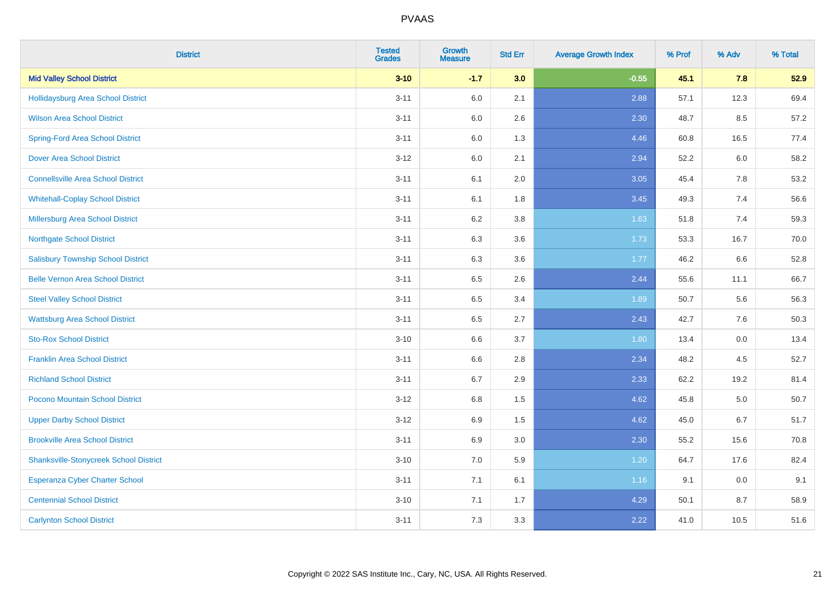| <b>District</b>                               | <b>Tested</b><br><b>Grades</b> | <b>Growth</b><br><b>Measure</b> | <b>Std Err</b> | <b>Average Growth Index</b> | % Prof | % Adv | % Total |
|-----------------------------------------------|--------------------------------|---------------------------------|----------------|-----------------------------|--------|-------|---------|
| <b>Mid Valley School District</b>             | $3 - 10$                       | $-1.7$                          | 3.0            | $-0.55$                     | 45.1   | 7.8   | 52.9    |
| <b>Hollidaysburg Area School District</b>     | $3 - 11$                       | 6.0                             | 2.1            | 2.88                        | 57.1   | 12.3  | 69.4    |
| <b>Wilson Area School District</b>            | $3 - 11$                       | 6.0                             | 2.6            | 2.30                        | 48.7   | 8.5   | 57.2    |
| <b>Spring-Ford Area School District</b>       | $3 - 11$                       | $6.0\,$                         | 1.3            | 4.46                        | 60.8   | 16.5  | 77.4    |
| <b>Dover Area School District</b>             | $3 - 12$                       | 6.0                             | 2.1            | 2.94                        | 52.2   | 6.0   | 58.2    |
| <b>Connellsville Area School District</b>     | $3 - 11$                       | 6.1                             | 2.0            | 3.05                        | 45.4   | 7.8   | 53.2    |
| <b>Whitehall-Coplay School District</b>       | $3 - 11$                       | 6.1                             | 1.8            | 3.45                        | 49.3   | 7.4   | 56.6    |
| <b>Millersburg Area School District</b>       | $3 - 11$                       | 6.2                             | 3.8            | 1.63                        | 51.8   | 7.4   | 59.3    |
| <b>Northgate School District</b>              | $3 - 11$                       | 6.3                             | 3.6            | 1.73                        | 53.3   | 16.7  | 70.0    |
| <b>Salisbury Township School District</b>     | $3 - 11$                       | 6.3                             | 3.6            | 1.77                        | 46.2   | 6.6   | 52.8    |
| <b>Belle Vernon Area School District</b>      | $3 - 11$                       | 6.5                             | 2.6            | 2.44                        | 55.6   | 11.1  | 66.7    |
| <b>Steel Valley School District</b>           | $3 - 11$                       | 6.5                             | 3.4            | 1.89                        | 50.7   | 5.6   | 56.3    |
| <b>Wattsburg Area School District</b>         | $3 - 11$                       | 6.5                             | 2.7            | 2.43                        | 42.7   | 7.6   | 50.3    |
| <b>Sto-Rox School District</b>                | $3 - 10$                       | 6.6                             | 3.7            | 1.80                        | 13.4   | 0.0   | 13.4    |
| <b>Franklin Area School District</b>          | $3 - 11$                       | 6.6                             | 2.8            | 2.34                        | 48.2   | 4.5   | 52.7    |
| <b>Richland School District</b>               | $3 - 11$                       | 6.7                             | 2.9            | 2.33                        | 62.2   | 19.2  | 81.4    |
| Pocono Mountain School District               | $3 - 12$                       | 6.8                             | 1.5            | 4.62                        | 45.8   | 5.0   | 50.7    |
| <b>Upper Darby School District</b>            | $3 - 12$                       | 6.9                             | 1.5            | 4.62                        | 45.0   | 6.7   | 51.7    |
| <b>Brookville Area School District</b>        | $3 - 11$                       | 6.9                             | 3.0            | 2.30                        | 55.2   | 15.6  | 70.8    |
| <b>Shanksville-Stonycreek School District</b> | $3 - 10$                       | 7.0                             | 5.9            | 1.20                        | 64.7   | 17.6  | 82.4    |
| <b>Esperanza Cyber Charter School</b>         | $3 - 11$                       | 7.1                             | 6.1            | 1.16                        | 9.1    | 0.0   | 9.1     |
| <b>Centennial School District</b>             | $3 - 10$                       | 7.1                             | 1.7            | 4.29                        | 50.1   | 8.7   | 58.9    |
| <b>Carlynton School District</b>              | $3 - 11$                       | 7.3                             | 3.3            | 2.22                        | 41.0   | 10.5  | 51.6    |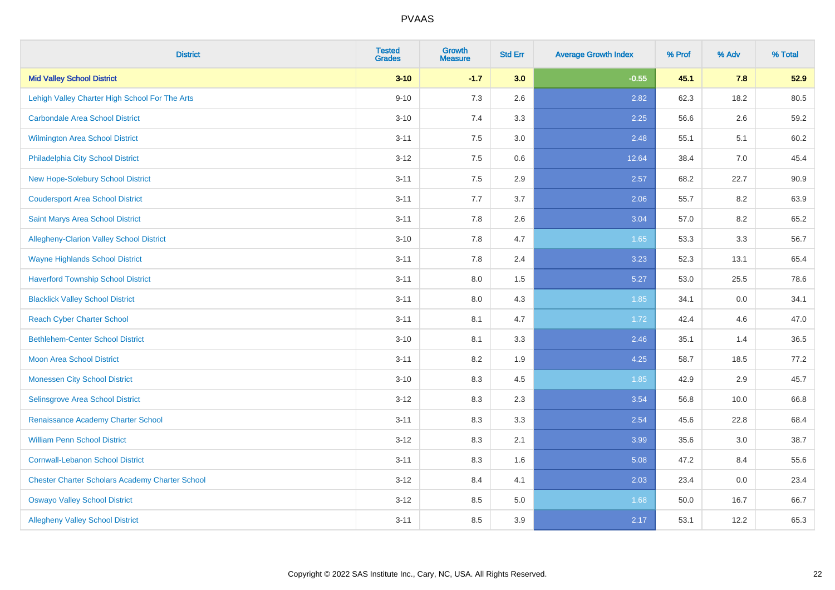| <b>District</b>                                        | <b>Tested</b><br><b>Grades</b> | <b>Growth</b><br><b>Measure</b> | <b>Std Err</b> | <b>Average Growth Index</b> | % Prof | % Adv | % Total |
|--------------------------------------------------------|--------------------------------|---------------------------------|----------------|-----------------------------|--------|-------|---------|
| <b>Mid Valley School District</b>                      | $3 - 10$                       | $-1.7$                          | 3.0            | $-0.55$                     | 45.1   | 7.8   | 52.9    |
| Lehigh Valley Charter High School For The Arts         | $9 - 10$                       | 7.3                             | 2.6            | 2.82                        | 62.3   | 18.2  | 80.5    |
| <b>Carbondale Area School District</b>                 | $3 - 10$                       | 7.4                             | 3.3            | 2.25                        | 56.6   | 2.6   | 59.2    |
| Wilmington Area School District                        | $3 - 11$                       | $7.5\,$                         | 3.0            | 2.48                        | 55.1   | 5.1   | 60.2    |
| Philadelphia City School District                      | $3 - 12$                       | 7.5                             | 0.6            | 12.64                       | 38.4   | 7.0   | 45.4    |
| <b>New Hope-Solebury School District</b>               | $3 - 11$                       | 7.5                             | 2.9            | 2.57                        | 68.2   | 22.7  | 90.9    |
| <b>Coudersport Area School District</b>                | $3 - 11$                       | 7.7                             | 3.7            | 2.06                        | 55.7   | 8.2   | 63.9    |
| Saint Marys Area School District                       | $3 - 11$                       | 7.8                             | 2.6            | 3.04                        | 57.0   | 8.2   | 65.2    |
| Allegheny-Clarion Valley School District               | $3 - 10$                       | 7.8                             | 4.7            | 1.65                        | 53.3   | 3.3   | 56.7    |
| <b>Wayne Highlands School District</b>                 | $3 - 11$                       | 7.8                             | 2.4            | 3.23                        | 52.3   | 13.1  | 65.4    |
| <b>Haverford Township School District</b>              | $3 - 11$                       | 8.0                             | 1.5            | 5.27                        | 53.0   | 25.5  | 78.6    |
| <b>Blacklick Valley School District</b>                | $3 - 11$                       | 8.0                             | 4.3            | 1.85                        | 34.1   | 0.0   | 34.1    |
| <b>Reach Cyber Charter School</b>                      | $3 - 11$                       | 8.1                             | 4.7            | 1.72                        | 42.4   | 4.6   | 47.0    |
| <b>Bethlehem-Center School District</b>                | $3 - 10$                       | 8.1                             | 3.3            | 2.46                        | 35.1   | 1.4   | 36.5    |
| <b>Moon Area School District</b>                       | $3 - 11$                       | 8.2                             | 1.9            | 4.25                        | 58.7   | 18.5  | 77.2    |
| <b>Monessen City School District</b>                   | $3 - 10$                       | 8.3                             | 4.5            | 1.85                        | 42.9   | 2.9   | 45.7    |
| Selinsgrove Area School District                       | $3 - 12$                       | 8.3                             | 2.3            | 3.54                        | 56.8   | 10.0  | 66.8    |
| Renaissance Academy Charter School                     | $3 - 11$                       | 8.3                             | 3.3            | 2.54                        | 45.6   | 22.8  | 68.4    |
| <b>William Penn School District</b>                    | $3 - 12$                       | 8.3                             | 2.1            | 3.99                        | 35.6   | 3.0   | 38.7    |
| <b>Cornwall-Lebanon School District</b>                | $3 - 11$                       | 8.3                             | 1.6            | 5.08                        | 47.2   | 8.4   | 55.6    |
| <b>Chester Charter Scholars Academy Charter School</b> | $3 - 12$                       | 8.4                             | 4.1            | 2.03                        | 23.4   | 0.0   | 23.4    |
| <b>Oswayo Valley School District</b>                   | $3 - 12$                       | 8.5                             | 5.0            | 1.68                        | 50.0   | 16.7  | 66.7    |
| <b>Allegheny Valley School District</b>                | $3 - 11$                       | 8.5                             | 3.9            | 2.17                        | 53.1   | 12.2  | 65.3    |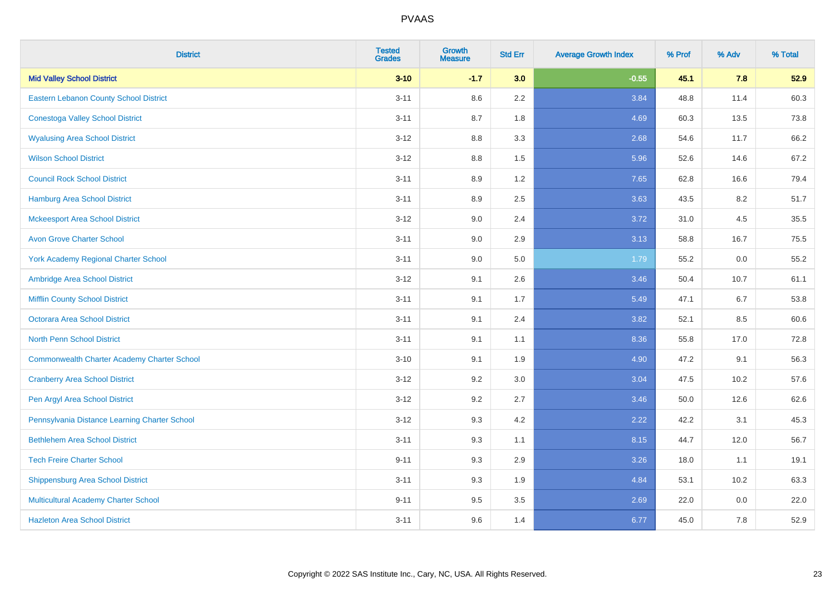| <b>District</b>                                    | <b>Tested</b><br><b>Grades</b> | <b>Growth</b><br><b>Measure</b> | <b>Std Err</b> | <b>Average Growth Index</b> | % Prof | % Adv | % Total |
|----------------------------------------------------|--------------------------------|---------------------------------|----------------|-----------------------------|--------|-------|---------|
| <b>Mid Valley School District</b>                  | $3 - 10$                       | $-1.7$                          | 3.0            | $-0.55$                     | 45.1   | 7.8   | 52.9    |
| Eastern Lebanon County School District             | $3 - 11$                       | 8.6                             | 2.2            | 3.84                        | 48.8   | 11.4  | 60.3    |
| <b>Conestoga Valley School District</b>            | $3 - 11$                       | 8.7                             | 1.8            | 4.69                        | 60.3   | 13.5  | 73.8    |
| <b>Wyalusing Area School District</b>              | $3 - 12$                       | $8.8\,$                         | 3.3            | 2.68                        | 54.6   | 11.7  | 66.2    |
| <b>Wilson School District</b>                      | $3 - 12$                       | 8.8                             | 1.5            | 5.96                        | 52.6   | 14.6  | 67.2    |
| <b>Council Rock School District</b>                | $3 - 11$                       | 8.9                             | 1.2            | 7.65                        | 62.8   | 16.6  | 79.4    |
| <b>Hamburg Area School District</b>                | $3 - 11$                       | 8.9                             | 2.5            | 3.63                        | 43.5   | 8.2   | 51.7    |
| <b>Mckeesport Area School District</b>             | $3 - 12$                       | 9.0                             | 2.4            | 3.72                        | 31.0   | 4.5   | 35.5    |
| <b>Avon Grove Charter School</b>                   | $3 - 11$                       | 9.0                             | 2.9            | 3.13                        | 58.8   | 16.7  | 75.5    |
| <b>York Academy Regional Charter School</b>        | $3 - 11$                       | 9.0                             | 5.0            | 1.79                        | 55.2   | 0.0   | 55.2    |
| Ambridge Area School District                      | $3 - 12$                       | 9.1                             | 2.6            | 3.46                        | 50.4   | 10.7  | 61.1    |
| <b>Mifflin County School District</b>              | $3 - 11$                       | 9.1                             | 1.7            | 5.49                        | 47.1   | 6.7   | 53.8    |
| Octorara Area School District                      | $3 - 11$                       | 9.1                             | 2.4            | 3.82                        | 52.1   | 8.5   | 60.6    |
| <b>North Penn School District</b>                  | $3 - 11$                       | 9.1                             | 1.1            | 8.36                        | 55.8   | 17.0  | 72.8    |
| <b>Commonwealth Charter Academy Charter School</b> | $3 - 10$                       | 9.1                             | 1.9            | 4.90                        | 47.2   | 9.1   | 56.3    |
| <b>Cranberry Area School District</b>              | $3 - 12$                       | 9.2                             | 3.0            | 3.04                        | 47.5   | 10.2  | 57.6    |
| Pen Argyl Area School District                     | $3 - 12$                       | 9.2                             | 2.7            | 3.46                        | 50.0   | 12.6  | 62.6    |
| Pennsylvania Distance Learning Charter School      | $3 - 12$                       | 9.3                             | 4.2            | 2.22                        | 42.2   | 3.1   | 45.3    |
| <b>Bethlehem Area School District</b>              | $3 - 11$                       | 9.3                             | 1.1            | 8.15                        | 44.7   | 12.0  | 56.7    |
| <b>Tech Freire Charter School</b>                  | $9 - 11$                       | 9.3                             | 2.9            | 3.26                        | 18.0   | 1.1   | 19.1    |
| <b>Shippensburg Area School District</b>           | $3 - 11$                       | 9.3                             | 1.9            | 4.84                        | 53.1   | 10.2  | 63.3    |
| Multicultural Academy Charter School               | $9 - 11$                       | 9.5                             | 3.5            | 2.69                        | 22.0   | 0.0   | 22.0    |
| <b>Hazleton Area School District</b>               | $3 - 11$                       | 9.6                             | 1.4            | 6.77                        | 45.0   | 7.8   | 52.9    |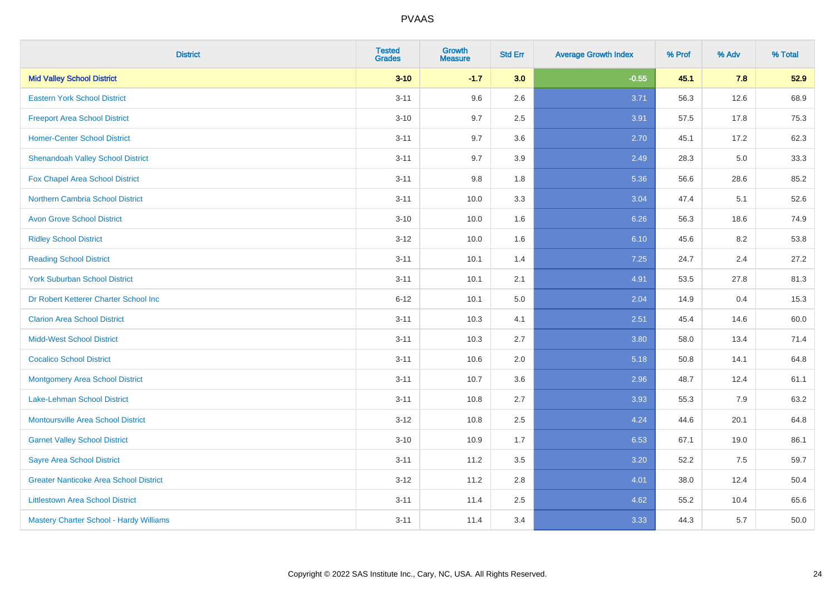| <b>District</b>                               | <b>Tested</b><br><b>Grades</b> | <b>Growth</b><br><b>Measure</b> | <b>Std Err</b> | <b>Average Growth Index</b> | % Prof | % Adv | % Total |
|-----------------------------------------------|--------------------------------|---------------------------------|----------------|-----------------------------|--------|-------|---------|
| <b>Mid Valley School District</b>             | $3 - 10$                       | $-1.7$                          | 3.0            | $-0.55$                     | 45.1   | 7.8   | 52.9    |
| <b>Eastern York School District</b>           | $3 - 11$                       | 9.6                             | 2.6            | 3.71                        | 56.3   | 12.6  | 68.9    |
| <b>Freeport Area School District</b>          | $3 - 10$                       | 9.7                             | 2.5            | 3.91                        | 57.5   | 17.8  | 75.3    |
| <b>Homer-Center School District</b>           | $3 - 11$                       | 9.7                             | 3.6            | 2.70                        | 45.1   | 17.2  | 62.3    |
| <b>Shenandoah Valley School District</b>      | $3 - 11$                       | 9.7                             | 3.9            | 2.49                        | 28.3   | 5.0   | 33.3    |
| Fox Chapel Area School District               | $3 - 11$                       | 9.8                             | 1.8            | 5.36                        | 56.6   | 28.6  | 85.2    |
| <b>Northern Cambria School District</b>       | $3 - 11$                       | 10.0                            | 3.3            | 3.04                        | 47.4   | 5.1   | 52.6    |
| <b>Avon Grove School District</b>             | $3 - 10$                       | 10.0                            | 1.6            | 6.26                        | 56.3   | 18.6  | 74.9    |
| <b>Ridley School District</b>                 | $3 - 12$                       | 10.0                            | 1.6            | 6.10                        | 45.6   | 8.2   | 53.8    |
| <b>Reading School District</b>                | $3 - 11$                       | 10.1                            | 1.4            | 7.25                        | 24.7   | 2.4   | 27.2    |
| <b>York Suburban School District</b>          | $3 - 11$                       | 10.1                            | 2.1            | 4.91                        | 53.5   | 27.8  | 81.3    |
| Dr Robert Ketterer Charter School Inc         | $6 - 12$                       | 10.1                            | 5.0            | 2.04                        | 14.9   | 0.4   | 15.3    |
| <b>Clarion Area School District</b>           | $3 - 11$                       | 10.3                            | 4.1            | 2.51                        | 45.4   | 14.6  | 60.0    |
| <b>Midd-West School District</b>              | $3 - 11$                       | 10.3                            | 2.7            | 3.80                        | 58.0   | 13.4  | 71.4    |
| <b>Cocalico School District</b>               | $3 - 11$                       | 10.6                            | 2.0            | 5.18                        | 50.8   | 14.1  | 64.8    |
| <b>Montgomery Area School District</b>        | $3 - 11$                       | 10.7                            | 3.6            | 2.96                        | 48.7   | 12.4  | 61.1    |
| Lake-Lehman School District                   | $3 - 11$                       | 10.8                            | 2.7            | 3.93                        | 55.3   | 7.9   | 63.2    |
| <b>Montoursville Area School District</b>     | $3 - 12$                       | 10.8                            | 2.5            | 4.24                        | 44.6   | 20.1  | 64.8    |
| <b>Garnet Valley School District</b>          | $3 - 10$                       | 10.9                            | 1.7            | 6.53                        | 67.1   | 19.0  | 86.1    |
| <b>Sayre Area School District</b>             | $3 - 11$                       | 11.2                            | 3.5            | 3.20                        | 52.2   | 7.5   | 59.7    |
| <b>Greater Nanticoke Area School District</b> | $3-12$                         | 11.2                            | 2.8            | 4.01                        | 38.0   | 12.4  | 50.4    |
| <b>Littlestown Area School District</b>       | $3 - 11$                       | 11.4                            | 2.5            | 4.62                        | 55.2   | 10.4  | 65.6    |
| Mastery Charter School - Hardy Williams       | $3 - 11$                       | 11.4                            | 3.4            | 3.33                        | 44.3   | 5.7   | 50.0    |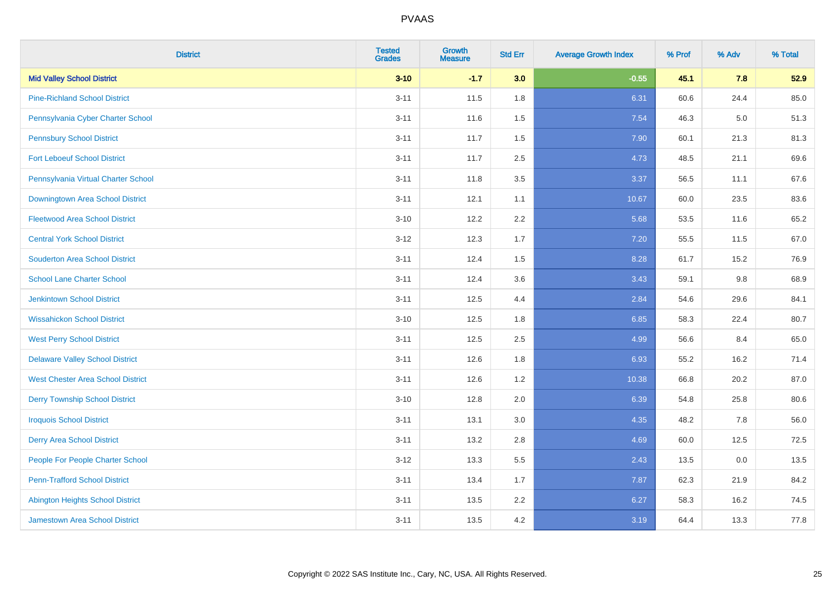| <b>District</b>                          | <b>Tested</b><br><b>Grades</b> | Growth<br><b>Measure</b> | <b>Std Err</b> | <b>Average Growth Index</b> | % Prof | % Adv   | % Total |
|------------------------------------------|--------------------------------|--------------------------|----------------|-----------------------------|--------|---------|---------|
| <b>Mid Valley School District</b>        | $3 - 10$                       | $-1.7$                   | 3.0            | $-0.55$                     | 45.1   | 7.8     | 52.9    |
| <b>Pine-Richland School District</b>     | $3 - 11$                       | 11.5                     | 1.8            | 6.31                        | 60.6   | 24.4    | 85.0    |
| Pennsylvania Cyber Charter School        | $3 - 11$                       | 11.6                     | 1.5            | 7.54                        | 46.3   | $5.0\,$ | 51.3    |
| <b>Pennsbury School District</b>         | $3 - 11$                       | 11.7                     | 1.5            | 7.90                        | 60.1   | 21.3    | 81.3    |
| <b>Fort Leboeuf School District</b>      | $3 - 11$                       | 11.7                     | 2.5            | 4.73                        | 48.5   | 21.1    | 69.6    |
| Pennsylvania Virtual Charter School      | $3 - 11$                       | 11.8                     | 3.5            | 3.37                        | 56.5   | 11.1    | 67.6    |
| Downingtown Area School District         | $3 - 11$                       | 12.1                     | 1.1            | 10.67                       | 60.0   | 23.5    | 83.6    |
| <b>Fleetwood Area School District</b>    | $3 - 10$                       | 12.2                     | 2.2            | 5.68                        | 53.5   | 11.6    | 65.2    |
| <b>Central York School District</b>      | $3 - 12$                       | 12.3                     | 1.7            | 7.20                        | 55.5   | 11.5    | 67.0    |
| <b>Souderton Area School District</b>    | $3 - 11$                       | 12.4                     | 1.5            | 8.28                        | 61.7   | 15.2    | 76.9    |
| <b>School Lane Charter School</b>        | $3 - 11$                       | 12.4                     | 3.6            | 3.43                        | 59.1   | 9.8     | 68.9    |
| <b>Jenkintown School District</b>        | $3 - 11$                       | 12.5                     | 4.4            | 2.84                        | 54.6   | 29.6    | 84.1    |
| <b>Wissahickon School District</b>       | $3 - 10$                       | 12.5                     | 1.8            | 6.85                        | 58.3   | 22.4    | 80.7    |
| <b>West Perry School District</b>        | $3 - 11$                       | 12.5                     | 2.5            | 4.99                        | 56.6   | 8.4     | 65.0    |
| <b>Delaware Valley School District</b>   | $3 - 11$                       | 12.6                     | 1.8            | 6.93                        | 55.2   | 16.2    | 71.4    |
| <b>West Chester Area School District</b> | $3 - 11$                       | 12.6                     | 1.2            | 10.38                       | 66.8   | 20.2    | 87.0    |
| <b>Derry Township School District</b>    | $3 - 10$                       | 12.8                     | 2.0            | 6.39                        | 54.8   | 25.8    | 80.6    |
| <b>Iroquois School District</b>          | $3 - 11$                       | 13.1                     | 3.0            | 4.35                        | 48.2   | 7.8     | 56.0    |
| <b>Derry Area School District</b>        | $3 - 11$                       | 13.2                     | 2.8            | 4.69                        | 60.0   | 12.5    | 72.5    |
| People For People Charter School         | $3 - 12$                       | 13.3                     | 5.5            | 2.43                        | 13.5   | 0.0     | 13.5    |
| <b>Penn-Trafford School District</b>     | $3 - 11$                       | 13.4                     | 1.7            | 7.87                        | 62.3   | 21.9    | 84.2    |
| <b>Abington Heights School District</b>  | $3 - 11$                       | 13.5                     | 2.2            | 6.27                        | 58.3   | 16.2    | 74.5    |
| <b>Jamestown Area School District</b>    | $3 - 11$                       | 13.5                     | 4.2            | 3.19                        | 64.4   | 13.3    | 77.8    |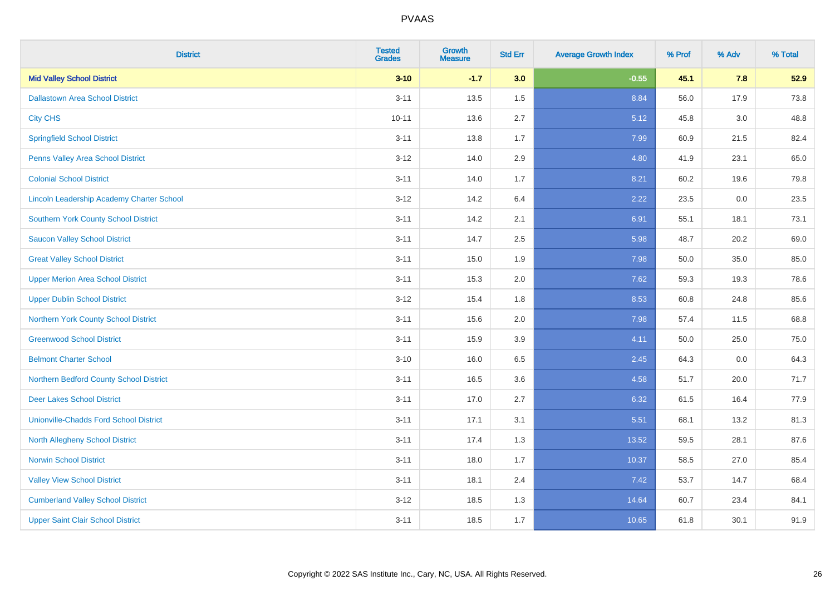| <b>District</b>                                  | <b>Tested</b><br><b>Grades</b> | <b>Growth</b><br><b>Measure</b> | <b>Std Err</b> | <b>Average Growth Index</b> | % Prof | % Adv   | % Total |
|--------------------------------------------------|--------------------------------|---------------------------------|----------------|-----------------------------|--------|---------|---------|
| <b>Mid Valley School District</b>                | $3 - 10$                       | $-1.7$                          | 3.0            | $-0.55$                     | 45.1   | 7.8     | 52.9    |
| <b>Dallastown Area School District</b>           | $3 - 11$                       | 13.5                            | 1.5            | 8.84                        | 56.0   | 17.9    | 73.8    |
| <b>City CHS</b>                                  | $10 - 11$                      | 13.6                            | 2.7            | 5.12                        | 45.8   | 3.0     | 48.8    |
| <b>Springfield School District</b>               | $3 - 11$                       | 13.8                            | 1.7            | 7.99                        | 60.9   | 21.5    | 82.4    |
| Penns Valley Area School District                | $3 - 12$                       | 14.0                            | 2.9            | 4.80                        | 41.9   | 23.1    | 65.0    |
| <b>Colonial School District</b>                  | $3 - 11$                       | 14.0                            | 1.7            | 8.21                        | 60.2   | 19.6    | 79.8    |
| <b>Lincoln Leadership Academy Charter School</b> | $3 - 12$                       | 14.2                            | 6.4            | 2.22                        | 23.5   | $0.0\,$ | 23.5    |
| <b>Southern York County School District</b>      | $3 - 11$                       | 14.2                            | 2.1            | 6.91                        | 55.1   | 18.1    | 73.1    |
| <b>Saucon Valley School District</b>             | $3 - 11$                       | 14.7                            | 2.5            | 5.98                        | 48.7   | 20.2    | 69.0    |
| <b>Great Valley School District</b>              | $3 - 11$                       | 15.0                            | 1.9            | 7.98                        | 50.0   | 35.0    | 85.0    |
| <b>Upper Merion Area School District</b>         | $3 - 11$                       | 15.3                            | 2.0            | 7.62                        | 59.3   | 19.3    | 78.6    |
| <b>Upper Dublin School District</b>              | $3 - 12$                       | 15.4                            | 1.8            | 8.53                        | 60.8   | 24.8    | 85.6    |
| Northern York County School District             | $3 - 11$                       | 15.6                            | 2.0            | 7.98                        | 57.4   | 11.5    | 68.8    |
| <b>Greenwood School District</b>                 | $3 - 11$                       | 15.9                            | 3.9            | 4.11                        | 50.0   | 25.0    | 75.0    |
| <b>Belmont Charter School</b>                    | $3 - 10$                       | 16.0                            | 6.5            | 2.45                        | 64.3   | 0.0     | 64.3    |
| Northern Bedford County School District          | $3 - 11$                       | 16.5                            | 3.6            | 4.58                        | 51.7   | 20.0    | 71.7    |
| <b>Deer Lakes School District</b>                | $3 - 11$                       | 17.0                            | 2.7            | 6.32                        | 61.5   | 16.4    | 77.9    |
| <b>Unionville-Chadds Ford School District</b>    | $3 - 11$                       | 17.1                            | 3.1            | 5.51                        | 68.1   | 13.2    | 81.3    |
| <b>North Allegheny School District</b>           | $3 - 11$                       | 17.4                            | 1.3            | 13.52                       | 59.5   | 28.1    | 87.6    |
| <b>Norwin School District</b>                    | $3 - 11$                       | 18.0                            | 1.7            | 10.37                       | 58.5   | 27.0    | 85.4    |
| <b>Valley View School District</b>               | $3 - 11$                       | 18.1                            | 2.4            | 7.42                        | 53.7   | 14.7    | 68.4    |
| <b>Cumberland Valley School District</b>         | $3 - 12$                       | 18.5                            | 1.3            | 14.64                       | 60.7   | 23.4    | 84.1    |
| <b>Upper Saint Clair School District</b>         | $3 - 11$                       | 18.5                            | 1.7            | 10.65                       | 61.8   | 30.1    | 91.9    |